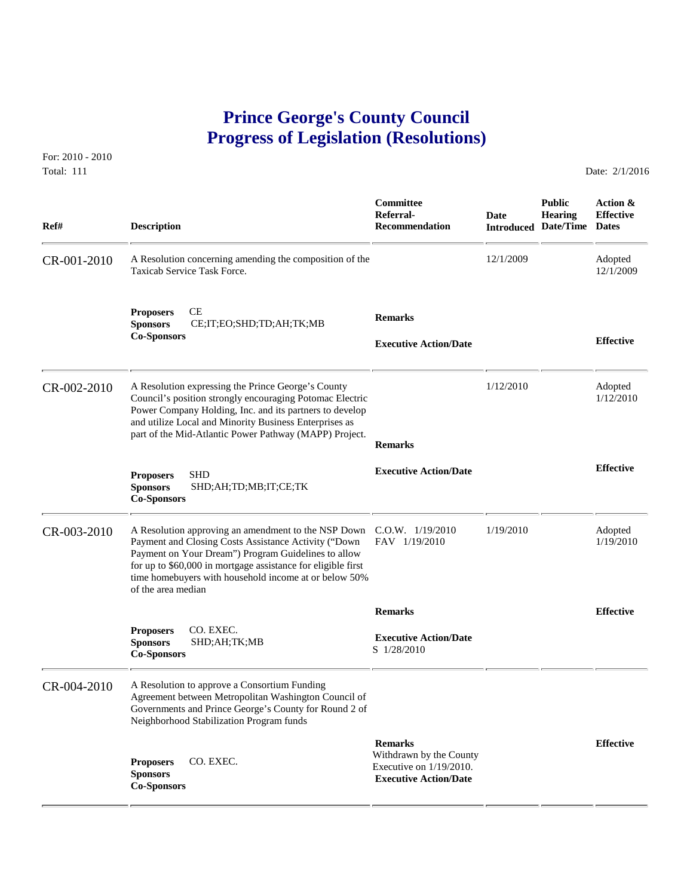## **Prince George's County Council Progress of Legislation (Resolutions)**

For: 2010 - 2010 Total: 111 Date: 2/1/2016

 **Committee Public Action & Referral- Date Hearing Effective Ref# Description Recommendation Introduced Date/Time Dates** CR-001-2010 A Resolution concerning amending the composition of the 12/1/2009 Adopted 12/1/2009 Adopted 12/1/2009 Taxicab Service Task Force. **Proposers CE**<br> **Sponsors CE;IT;EO;SHD;TD;AH;TK;MB Remarks Co-Sponsors Effective Executive Action/Date** CR-002-2010 A Resolution expressing the Prince George's County 1/12/2010 Adopted Council's position strongly encounaging Potomac Electric 1/12/2010 Adopted 1/12/2010 Council's position strongly encouraging Potomac Electric Power Company Holding, Inc. and its partners to develop and utilize Local and Minority Business Enterprises as part of the Mid-Atlantic Power Pathway (MAPP) Project.  **Remarks Proposers** SHD<br> **Effective Effective Action/Date Proposers Effective Effective Proposers Proposers Proposers Proposers Proposers Proposers Proposers Proposers Proposers Proposers Proposers Pr Sponsors** SHD;AH;TD;MB;IT;CE;TK **Co-Sponsors**  CR-003-2010 A Resolution approving an amendment to the NSP Down C.O.W. 1/19/2010 1/19/2010 Adopted<br>Payment and Closing Costs Assistance Activity ("Down FAV 1/19/2010 1/19/2010 1/19/2010 Payment and Closing Costs Assistance Activity ("Down Payment on Your Dream") Program Guidelines to allow for up to \$60,000 in mortgage assistance for eligible first time homebuyers with household income at or below 50% of the area median  **Remarks Effective Proposers CO. EXEC.<br>Sponsors SHD;AH;T Executive Action/Date**<br> **Sponsors** SHD;AH;TK;MB S 1/28/2010 S 1/28/2010 CR-004-2010 A Resolution to approve a Consortium Funding Agreement between Metropolitan Washington Council of Governments and Prince George's County for Round 2 of Neighborhood Stabilization Program funds  **Remarks Effective Proposers** CO. EXEC. Withdrawn by the County **Proposers CO. EXEC.** Executive on 1/19/2010.<br> **Executive Action/Date Co-Sponsors**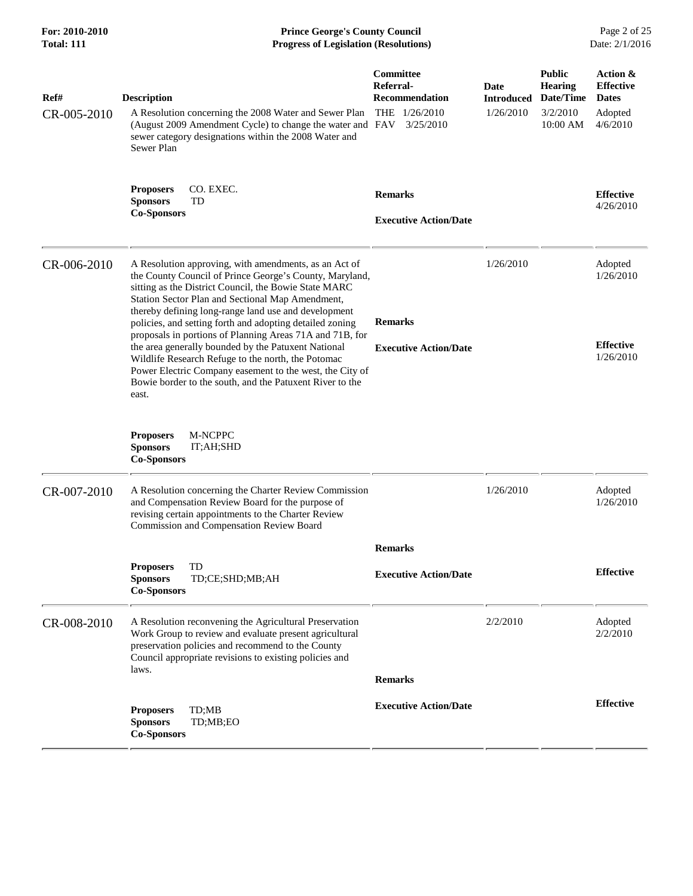| For: 2010-2010<br><b>Total: 111</b> | <b>Prince George's County Council</b><br><b>Progress of Legislation (Resolutions)</b>                                                                                                                                                                                                                                                                                                                                                                                                                                                                                                                                                                       | Page 2 of 25<br>Date: 2/1/2016                                                  |                                        |                                                                      |                                                                     |
|-------------------------------------|-------------------------------------------------------------------------------------------------------------------------------------------------------------------------------------------------------------------------------------------------------------------------------------------------------------------------------------------------------------------------------------------------------------------------------------------------------------------------------------------------------------------------------------------------------------------------------------------------------------------------------------------------------------|---------------------------------------------------------------------------------|----------------------------------------|----------------------------------------------------------------------|---------------------------------------------------------------------|
| Ref#<br>CR-005-2010                 | <b>Description</b><br>A Resolution concerning the 2008 Water and Sewer Plan<br>(August 2009 Amendment Cycle) to change the water and FAV<br>sewer category designations within the 2008 Water and<br>Sewer Plan                                                                                                                                                                                                                                                                                                                                                                                                                                             | Committee<br>Referral-<br><b>Recommendation</b><br>THE $1/26/2010$<br>3/25/2010 | Date<br><b>Introduced</b><br>1/26/2010 | <b>Public</b><br><b>Hearing</b><br>Date/Time<br>3/2/2010<br>10:00 AM | Action &<br><b>Effective</b><br><b>Dates</b><br>Adopted<br>4/6/2010 |
|                                     | CO. EXEC.<br><b>Proposers</b><br><b>Sponsors</b><br>TD<br><b>Co-Sponsors</b>                                                                                                                                                                                                                                                                                                                                                                                                                                                                                                                                                                                | <b>Remarks</b><br><b>Executive Action/Date</b>                                  |                                        |                                                                      | <b>Effective</b><br>4/26/2010                                       |
| CR-006-2010                         | A Resolution approving, with amendments, as an Act of<br>the County Council of Prince George's County, Maryland,<br>sitting as the District Council, the Bowie State MARC<br>Station Sector Plan and Sectional Map Amendment,<br>thereby defining long-range land use and development<br>policies, and setting forth and adopting detailed zoning<br>proposals in portions of Planning Areas 71A and 71B, for<br>the area generally bounded by the Patuxent National<br>Wildlife Research Refuge to the north, the Potomac<br>Power Electric Company easement to the west, the City of<br>Bowie border to the south, and the Patuxent River to the<br>east. | <b>Remarks</b><br><b>Executive Action/Date</b>                                  | 1/26/2010                              |                                                                      | Adopted<br>1/26/2010<br><b>Effective</b><br>1/26/2010               |
|                                     | <b>Proposers</b><br>M-NCPPC<br><b>Sponsors</b><br>IT;AH;SHD<br><b>Co-Sponsors</b>                                                                                                                                                                                                                                                                                                                                                                                                                                                                                                                                                                           |                                                                                 |                                        |                                                                      |                                                                     |
| CR-007-2010                         | A Resolution concerning the Charter Review Commission<br>and Compensation Review Board for the purpose of<br>revising certain appointments to the Charter Review<br>Commission and Compensation Review Board                                                                                                                                                                                                                                                                                                                                                                                                                                                |                                                                                 | 1/26/2010                              |                                                                      | Adopted<br>1/26/2010                                                |
|                                     | TD<br><b>Proposers</b><br>TD;CE;SHD;MB;AH<br><b>Sponsors</b><br><b>Co-Sponsors</b>                                                                                                                                                                                                                                                                                                                                                                                                                                                                                                                                                                          | <b>Remarks</b><br><b>Executive Action/Date</b>                                  |                                        |                                                                      | <b>Effective</b>                                                    |
| CR-008-2010                         | A Resolution reconvening the Agricultural Preservation<br>Work Group to review and evaluate present agricultural<br>preservation policies and recommend to the County<br>Council appropriate revisions to existing policies and<br>laws.                                                                                                                                                                                                                                                                                                                                                                                                                    | <b>Remarks</b>                                                                  | 2/2/2010                               |                                                                      | Adopted<br>2/2/2010                                                 |
|                                     | TD;MB<br><b>Proposers</b><br><b>Sponsors</b><br>TD;MB;EO<br><b>Co-Sponsors</b>                                                                                                                                                                                                                                                                                                                                                                                                                                                                                                                                                                              | <b>Executive Action/Date</b>                                                    |                                        |                                                                      | <b>Effective</b>                                                    |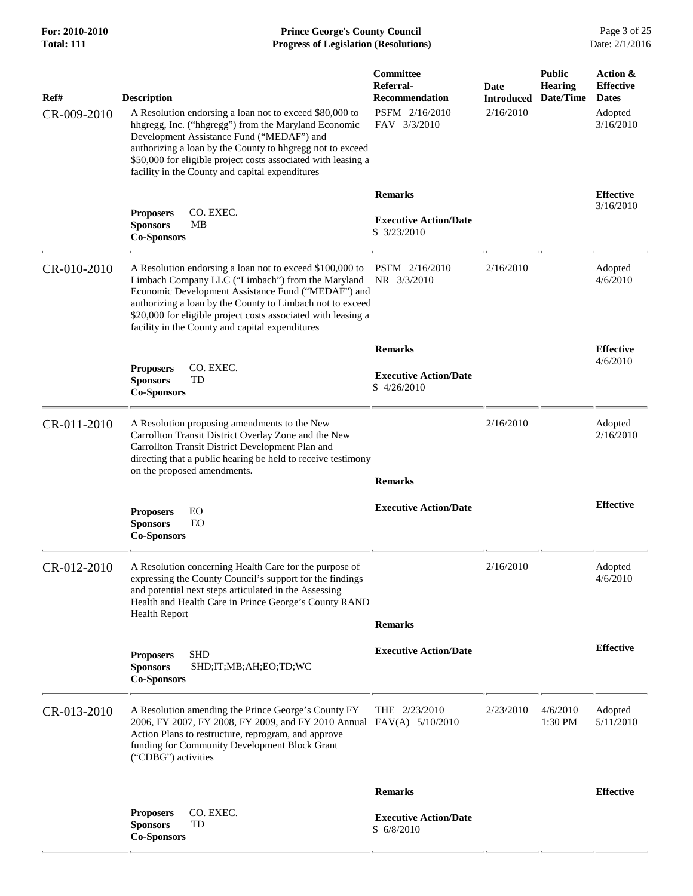**For: 2010-2010 Prince George's County Council** Page 3 of 25<br> **Formal: 111 Progress of Legislation (Resolutions)** Date: 2/1/2016 **Total: 111 Progress of Legislation (Resolutions)** 

| Ref#        | <b>Description</b>                                                                                                                                                                                                                                                                                                                                   | Committee<br>Referral-<br><b>Recommendation</b> | Date<br><b>Introduced</b> | <b>Public</b><br>Hearing<br>Date/Time | Action &<br><b>Effective</b><br><b>Dates</b> |
|-------------|------------------------------------------------------------------------------------------------------------------------------------------------------------------------------------------------------------------------------------------------------------------------------------------------------------------------------------------------------|-------------------------------------------------|---------------------------|---------------------------------------|----------------------------------------------|
| CR-009-2010 | A Resolution endorsing a loan not to exceed \$80,000 to<br>hhgregg, Inc. ("hhgregg") from the Maryland Economic<br>Development Assistance Fund ("MEDAF") and<br>authorizing a loan by the County to hhgregg not to exceed<br>\$50,000 for eligible project costs associated with leasing a<br>facility in the County and capital expenditures        | PSFM 2/16/2010<br>FAV 3/3/2010                  | 2/16/2010                 |                                       | Adopted<br>3/16/2010                         |
|             |                                                                                                                                                                                                                                                                                                                                                      | <b>Remarks</b>                                  |                           |                                       | <b>Effective</b>                             |
|             | CO. EXEC.<br><b>Proposers</b><br><b>Sponsors</b><br>MВ<br><b>Co-Sponsors</b>                                                                                                                                                                                                                                                                         | <b>Executive Action/Date</b><br>S 3/23/2010     |                           |                                       | 3/16/2010                                    |
| CR-010-2010 | A Resolution endorsing a loan not to exceed \$100,000 to<br>Limbach Company LLC ("Limbach") from the Maryland<br>Economic Development Assistance Fund ("MEDAF") and<br>authorizing a loan by the County to Limbach not to exceed<br>\$20,000 for eligible project costs associated with leasing a<br>facility in the County and capital expenditures | PSFM 2/16/2010<br>NR 3/3/2010                   | 2/16/2010                 |                                       | Adopted<br>4/6/2010                          |
|             |                                                                                                                                                                                                                                                                                                                                                      | <b>Remarks</b>                                  |                           |                                       | <b>Effective</b>                             |
|             | <b>Proposers</b><br>CO. EXEC.<br>TD<br><b>Sponsors</b><br><b>Co-Sponsors</b>                                                                                                                                                                                                                                                                         | <b>Executive Action/Date</b><br>S 4/26/2010     |                           |                                       | 4/6/2010                                     |
| CR-011-2010 | A Resolution proposing amendments to the New<br>Carrollton Transit District Overlay Zone and the New<br>Carrollton Transit District Development Plan and<br>directing that a public hearing be held to receive testimony<br>on the proposed amendments.                                                                                              | <b>Remarks</b>                                  | 2/16/2010                 |                                       | Adopted<br>2/16/2010                         |
|             | EO<br><b>Proposers</b><br><b>Sponsors</b><br>EO<br><b>Co-Sponsors</b>                                                                                                                                                                                                                                                                                | <b>Executive Action/Date</b>                    |                           |                                       | <b>Effective</b>                             |
| CR-012-2010 | A Resolution concerning Health Care for the purpose of<br>expressing the County Council's support for the findings<br>and potential next steps articulated in the Assessing<br>Health and Health Care in Prince George's County RAND                                                                                                                 |                                                 | 2/16/2010                 |                                       | Adopted<br>4/6/2010                          |
|             | <b>Health Report</b>                                                                                                                                                                                                                                                                                                                                 | <b>Remarks</b>                                  |                           |                                       |                                              |
|             | <b>SHD</b><br><b>Proposers</b><br><b>Sponsors</b><br>SHD; IT; MB; AH; EO; TD; WC<br><b>Co-Sponsors</b>                                                                                                                                                                                                                                               | <b>Executive Action/Date</b>                    |                           |                                       | <b>Effective</b>                             |
| CR-013-2010 | A Resolution amending the Prince George's County FY<br>2006, FY 2007, FY 2008, FY 2009, and FY 2010 Annual FAV(A) 5/10/2010<br>Action Plans to restructure, reprogram, and approve<br>funding for Community Development Block Grant<br>("CDBG") activities                                                                                           | THE $2/23/2010$                                 | 2/23/2010                 | 4/6/2010<br>1:30 PM                   | Adopted<br>5/11/2010                         |
|             |                                                                                                                                                                                                                                                                                                                                                      | <b>Remarks</b>                                  |                           |                                       | <b>Effective</b>                             |
|             | <b>Proposers</b><br>CO. EXEC.<br><b>Sponsors</b><br>TD<br><b>Co-Sponsors</b>                                                                                                                                                                                                                                                                         | <b>Executive Action/Date</b><br>S 6/8/2010      |                           |                                       |                                              |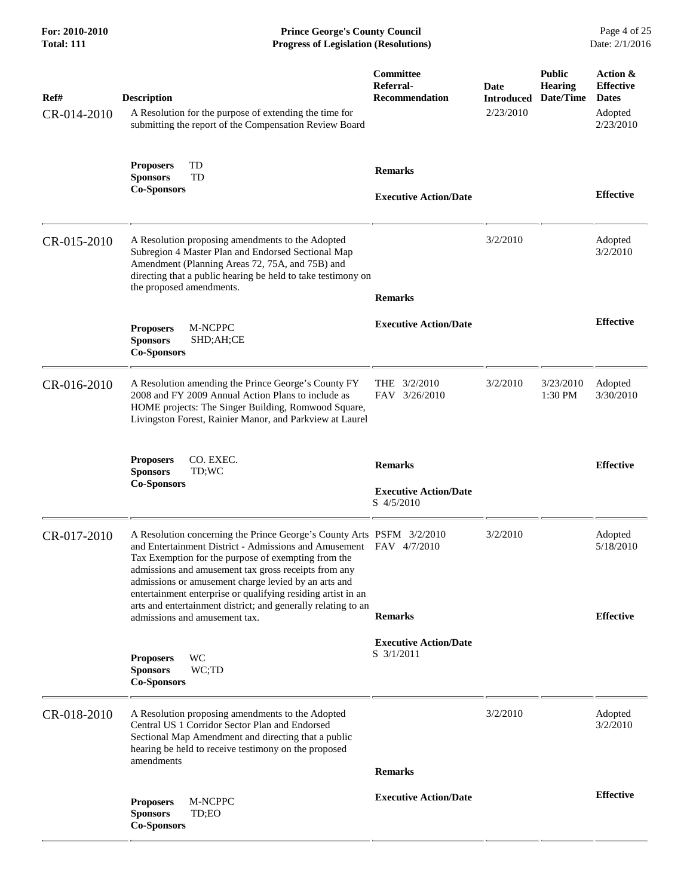| For: 2010-2010<br><b>Total: 111</b> | <b>Prince George's County Council</b><br>Date: 2/1/2016<br><b>Progress of Legislation (Resolutions)</b>                                                                                                                                                                                                                                                                                                                                                                              |                                                              |                                        |                                              |                                                                      |
|-------------------------------------|--------------------------------------------------------------------------------------------------------------------------------------------------------------------------------------------------------------------------------------------------------------------------------------------------------------------------------------------------------------------------------------------------------------------------------------------------------------------------------------|--------------------------------------------------------------|----------------------------------------|----------------------------------------------|----------------------------------------------------------------------|
| Ref#<br>CR-014-2010                 | <b>Description</b><br>A Resolution for the purpose of extending the time for<br>submitting the report of the Compensation Review Board                                                                                                                                                                                                                                                                                                                                               | <b>Committee</b><br>Referral-<br><b>Recommendation</b>       | Date<br><b>Introduced</b><br>2/23/2010 | <b>Public</b><br><b>Hearing</b><br>Date/Time | Action &<br><b>Effective</b><br><b>Dates</b><br>Adopted<br>2/23/2010 |
|                                     | TD<br><b>Proposers</b><br><b>Sponsors</b><br>TD<br><b>Co-Sponsors</b>                                                                                                                                                                                                                                                                                                                                                                                                                | <b>Remarks</b><br><b>Executive Action/Date</b>               |                                        |                                              | <b>Effective</b>                                                     |
| CR-015-2010                         | A Resolution proposing amendments to the Adopted<br>Subregion 4 Master Plan and Endorsed Sectional Map<br>Amendment (Planning Areas 72, 75A, and 75B) and<br>directing that a public hearing be held to take testimony on<br>the proposed amendments.                                                                                                                                                                                                                                | <b>Remarks</b>                                               | 3/2/2010                               |                                              | Adopted<br>3/2/2010                                                  |
|                                     | M-NCPPC<br><b>Proposers</b><br><b>Sponsors</b><br>SHD;AH;CE<br><b>Co-Sponsors</b>                                                                                                                                                                                                                                                                                                                                                                                                    | <b>Executive Action/Date</b>                                 |                                        |                                              | <b>Effective</b>                                                     |
| CR-016-2010                         | A Resolution amending the Prince George's County FY<br>2008 and FY 2009 Annual Action Plans to include as<br>HOME projects: The Singer Building, Romwood Square,<br>Livingston Forest, Rainier Manor, and Parkview at Laurel                                                                                                                                                                                                                                                         | THE 3/2/2010<br>FAV 3/26/2010                                | 3/2/2010                               | 3/23/2010<br>1:30 PM                         | Adopted<br>3/30/2010                                                 |
|                                     | <b>Proposers</b><br>CO. EXEC.<br><b>Sponsors</b><br>TD;WC<br><b>Co-Sponsors</b>                                                                                                                                                                                                                                                                                                                                                                                                      | <b>Remarks</b><br><b>Executive Action/Date</b><br>S 4/5/2010 |                                        |                                              | <b>Effective</b>                                                     |
| CR-017-2010                         | A Resolution concerning the Prince George's County Arts PSFM 3/2/2010<br>and Entertainment District - Admissions and Amusement FAV 4/7/2010<br>Tax Exemption for the purpose of exempting from the<br>admissions and amusement tax gross receipts from any<br>admissions or amusement charge levied by an arts and<br>entertainment enterprise or qualifying residing artist in an<br>arts and entertainment district; and generally relating to an<br>admissions and amusement tax. | <b>Remarks</b>                                               | 3/2/2010                               |                                              | Adopted<br>5/18/2010<br><b>Effective</b>                             |
|                                     | WC<br><b>Proposers</b><br><b>Sponsors</b><br>WC;TD<br><b>Co-Sponsors</b>                                                                                                                                                                                                                                                                                                                                                                                                             | <b>Executive Action/Date</b><br>S 3/1/2011                   |                                        |                                              |                                                                      |
| CR-018-2010                         | A Resolution proposing amendments to the Adopted<br>Central US 1 Corridor Sector Plan and Endorsed<br>Sectional Map Amendment and directing that a public<br>hearing be held to receive testimony on the proposed<br>amendments                                                                                                                                                                                                                                                      |                                                              | 3/2/2010                               |                                              | Adopted<br>3/2/2010                                                  |
|                                     |                                                                                                                                                                                                                                                                                                                                                                                                                                                                                      | <b>Remarks</b>                                               |                                        |                                              |                                                                      |
|                                     | <b>Proposers</b><br>M-NCPPC<br>TD;EO<br><b>Sponsors</b><br><b>Co-Sponsors</b>                                                                                                                                                                                                                                                                                                                                                                                                        | <b>Executive Action/Date</b>                                 |                                        |                                              | <b>Effective</b>                                                     |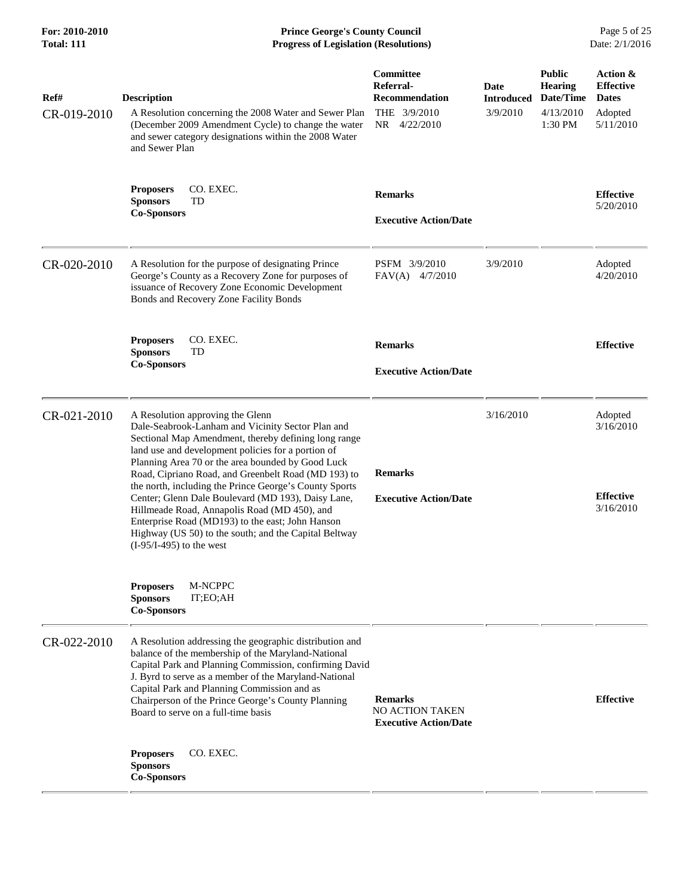| For: 2010-2010<br><b>Total: 111</b> | <b>Prince George's County Council</b><br>Date: 2/1/2016<br><b>Progress of Legislation (Resolutions)</b>                                                                                                                                                                                                                                                                                                                                                                                                                                                                                                                    |                                                                                 |                                       |                                                                      |                                                                      |
|-------------------------------------|----------------------------------------------------------------------------------------------------------------------------------------------------------------------------------------------------------------------------------------------------------------------------------------------------------------------------------------------------------------------------------------------------------------------------------------------------------------------------------------------------------------------------------------------------------------------------------------------------------------------------|---------------------------------------------------------------------------------|---------------------------------------|----------------------------------------------------------------------|----------------------------------------------------------------------|
| Ref#<br>CR-019-2010                 | <b>Description</b><br>A Resolution concerning the 2008 Water and Sewer Plan<br>(December 2009 Amendment Cycle) to change the water<br>and sewer category designations within the 2008 Water<br>and Sewer Plan                                                                                                                                                                                                                                                                                                                                                                                                              | Committee<br>Referral-<br><b>Recommendation</b><br>THE 3/9/2010<br>NR 4/22/2010 | Date<br><b>Introduced</b><br>3/9/2010 | <b>Public</b><br><b>Hearing</b><br>Date/Time<br>4/13/2010<br>1:30 PM | Action &<br><b>Effective</b><br><b>Dates</b><br>Adopted<br>5/11/2010 |
|                                     | CO. EXEC.<br><b>Proposers</b><br><b>Sponsors</b><br>TD<br><b>Co-Sponsors</b>                                                                                                                                                                                                                                                                                                                                                                                                                                                                                                                                               | <b>Remarks</b><br><b>Executive Action/Date</b>                                  |                                       |                                                                      | <b>Effective</b><br>5/20/2010                                        |
| CR-020-2010                         | A Resolution for the purpose of designating Prince<br>George's County as a Recovery Zone for purposes of<br>issuance of Recovery Zone Economic Development<br>Bonds and Recovery Zone Facility Bonds                                                                                                                                                                                                                                                                                                                                                                                                                       | PSFM 3/9/2010<br>$FAV(A)$ 4/7/2010                                              | 3/9/2010                              |                                                                      | Adopted<br>4/20/2010                                                 |
|                                     | <b>Proposers</b><br>CO. EXEC.<br>TD<br><b>Sponsors</b><br><b>Co-Sponsors</b>                                                                                                                                                                                                                                                                                                                                                                                                                                                                                                                                               | <b>Remarks</b><br><b>Executive Action/Date</b>                                  |                                       |                                                                      | <b>Effective</b>                                                     |
| CR-021-2010                         | A Resolution approving the Glenn<br>Dale-Seabrook-Lanham and Vicinity Sector Plan and<br>Sectional Map Amendment, thereby defining long range<br>land use and development policies for a portion of<br>Planning Area 70 or the area bounded by Good Luck<br>Road, Cipriano Road, and Greenbelt Road (MD 193) to<br>the north, including the Prince George's County Sports<br>Center; Glenn Dale Boulevard (MD 193), Daisy Lane,<br>Hillmeade Road, Annapolis Road (MD 450), and<br>Enterprise Road (MD193) to the east; John Hanson<br>Highway (US 50) to the south; and the Capital Beltway<br>$(I-95/I-495)$ to the west | <b>Remarks</b><br><b>Executive Action/Date</b>                                  | 3/16/2010                             |                                                                      | Adopted<br>3/16/2010<br><b>Effective</b><br>3/16/2010                |
|                                     | M-NCPPC<br><b>Proposers</b><br><b>Sponsors</b><br>IT;EO;AH<br><b>Co-Sponsors</b>                                                                                                                                                                                                                                                                                                                                                                                                                                                                                                                                           |                                                                                 |                                       |                                                                      |                                                                      |
| CR-022-2010                         | A Resolution addressing the geographic distribution and<br>balance of the membership of the Maryland-National<br>Capital Park and Planning Commission, confirming David<br>J. Byrd to serve as a member of the Maryland-National<br>Capital Park and Planning Commission and as<br>Chairperson of the Prince George's County Planning<br>Board to serve on a full-time basis                                                                                                                                                                                                                                               | <b>Remarks</b><br>NO ACTION TAKEN<br><b>Executive Action/Date</b>               |                                       |                                                                      | <b>Effective</b>                                                     |
|                                     | CO. EXEC.<br><b>Proposers</b><br><b>Sponsors</b><br><b>Co-Sponsors</b>                                                                                                                                                                                                                                                                                                                                                                                                                                                                                                                                                     |                                                                                 |                                       |                                                                      |                                                                      |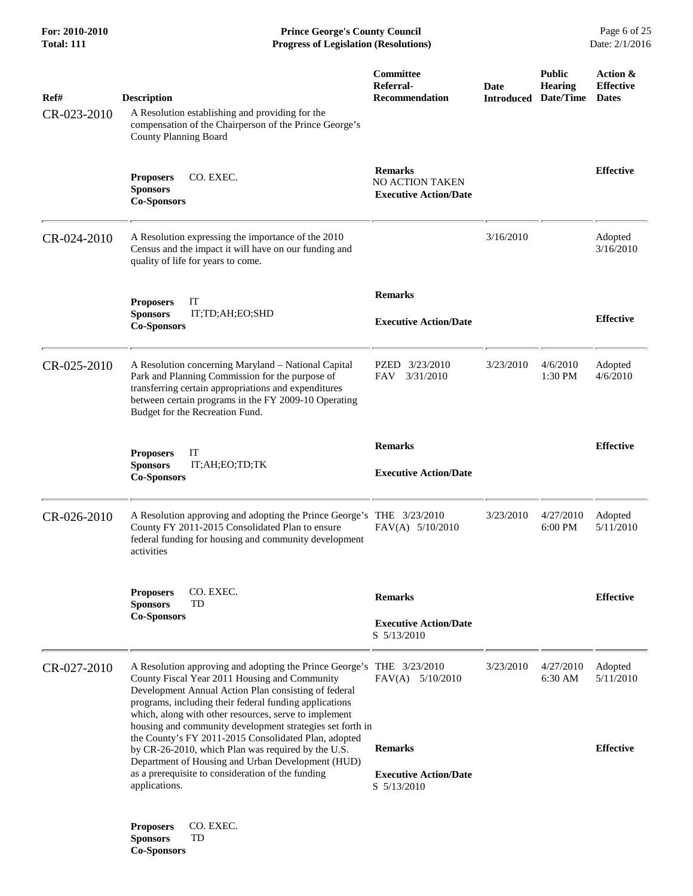**Co-Sponsors** 

**For: 2010-2010 Prince George's County Council** Page 6 of 25<br> **Formal: 111 Progress of Legislation (Resolutions)** Date: 2/1/2016 **Progress of Legislation (Resolutions)** 

| Ref#        | <b>Description</b>                                                                                                                                                                                                                                                                                                                                             | Committee<br>Referral-<br><b>Recommendation</b>                   | Date<br><b>Introduced</b> | <b>Public</b><br><b>Hearing</b><br>Date/Time | Action &<br><b>Effective</b><br><b>Dates</b> |
|-------------|----------------------------------------------------------------------------------------------------------------------------------------------------------------------------------------------------------------------------------------------------------------------------------------------------------------------------------------------------------------|-------------------------------------------------------------------|---------------------------|----------------------------------------------|----------------------------------------------|
| CR-023-2010 | A Resolution establishing and providing for the<br>compensation of the Chairperson of the Prince George's<br><b>County Planning Board</b>                                                                                                                                                                                                                      |                                                                   |                           |                                              |                                              |
|             | <b>Proposers</b><br>CO. EXEC.<br><b>Sponsors</b><br><b>Co-Sponsors</b>                                                                                                                                                                                                                                                                                         | <b>Remarks</b><br>NO ACTION TAKEN<br><b>Executive Action/Date</b> |                           |                                              | <b>Effective</b>                             |
| CR-024-2010 | A Resolution expressing the importance of the 2010<br>Census and the impact it will have on our funding and<br>quality of life for years to come.                                                                                                                                                                                                              |                                                                   | 3/16/2010                 |                                              | Adopted<br>3/16/2010                         |
|             | IT<br><b>Proposers</b>                                                                                                                                                                                                                                                                                                                                         | <b>Remarks</b>                                                    |                           |                                              |                                              |
|             | <b>Sponsors</b><br>IT;TD;AH;EO;SHD<br><b>Co-Sponsors</b>                                                                                                                                                                                                                                                                                                       | <b>Executive Action/Date</b>                                      |                           |                                              | <b>Effective</b>                             |
| CR-025-2010 | A Resolution concerning Maryland - National Capital<br>Park and Planning Commission for the purpose of<br>transferring certain appropriations and expenditures<br>between certain programs in the FY 2009-10 Operating<br>Budget for the Recreation Fund.                                                                                                      | PZED 3/23/2010<br>3/31/2010<br><b>FAV</b>                         | 3/23/2010                 | 4/6/2010<br>1:30 PM                          | Adopted<br>4/6/2010                          |
|             |                                                                                                                                                                                                                                                                                                                                                                | <b>Remarks</b>                                                    |                           |                                              | <b>Effective</b>                             |
|             | <b>Proposers</b><br>IT<br><b>Sponsors</b><br>IT;AH;EO;TD;TK<br><b>Co-Sponsors</b>                                                                                                                                                                                                                                                                              | <b>Executive Action/Date</b>                                      |                           |                                              |                                              |
| CR-026-2010 | A Resolution approving and adopting the Prince George's THE 3/23/2010<br>County FY 2011-2015 Consolidated Plan to ensure<br>federal funding for housing and community development<br>activities                                                                                                                                                                | $FAV(A)$ 5/10/2010                                                | 3/23/2010                 | 4/27/2010<br>6:00 PM                         | Adopted<br>5/11/2010                         |
|             | CO. EXEC.<br><b>Proposers</b><br>TD<br><b>Sponsors</b>                                                                                                                                                                                                                                                                                                         | <b>Remarks</b>                                                    |                           |                                              | <b>Effective</b>                             |
|             | <b>Co-Sponsors</b>                                                                                                                                                                                                                                                                                                                                             | <b>Executive Action/Date</b><br>S 5/13/2010                       |                           |                                              |                                              |
| CR-027-2010 | A Resolution approving and adopting the Prince George's THE 3/23/2010<br>County Fiscal Year 2011 Housing and Community<br>Development Annual Action Plan consisting of federal<br>programs, including their federal funding applications<br>which, along with other resources, serve to implement<br>housing and community development strategies set forth in | FAV(A)<br>5/10/2010                                               | 3/23/2010                 | 4/27/2010<br>6:30 AM                         | Adopted<br>5/11/2010                         |
|             | the County's FY 2011-2015 Consolidated Plan, adopted<br>by CR-26-2010, which Plan was required by the U.S.                                                                                                                                                                                                                                                     | <b>Remarks</b>                                                    |                           |                                              | <b>Effective</b>                             |
|             | Department of Housing and Urban Development (HUD)<br>as a prerequisite to consideration of the funding<br>applications.                                                                                                                                                                                                                                        | <b>Executive Action/Date</b><br>S 5/13/2010                       |                           |                                              |                                              |
|             | <b>Proposers</b><br>CO. EXEC.<br><b>Sponsors</b><br>TD                                                                                                                                                                                                                                                                                                         |                                                                   |                           |                                              |                                              |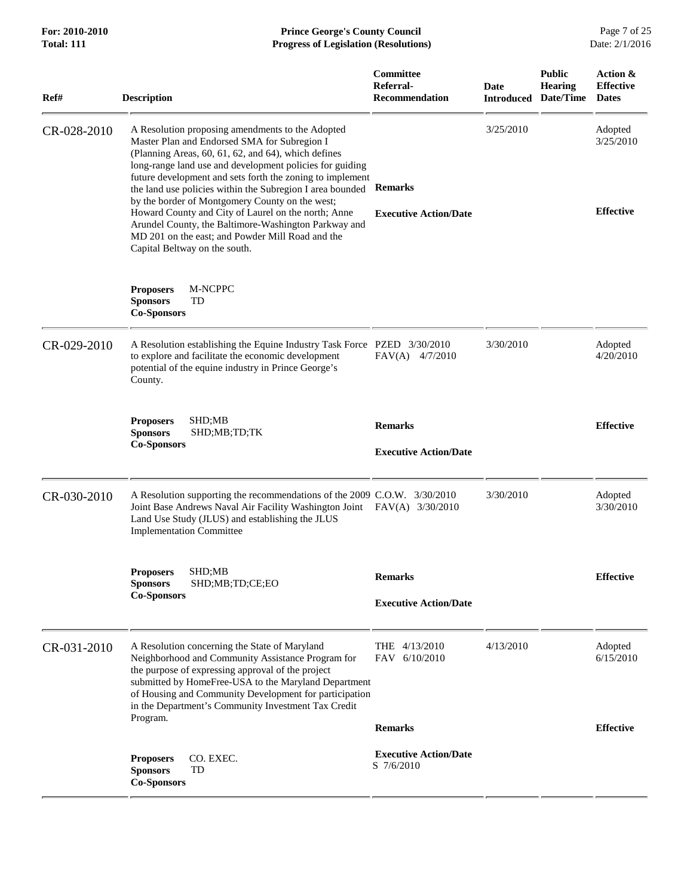| <b>Total: 111</b> | <b>Progress of Legislation (Resolutions)</b>                                                                                                                                                                                                                                                                                                                                                                                                                                                                                                                                                                 |                                                              |           |                                                                | Date: 2/1/2016                               |
|-------------------|--------------------------------------------------------------------------------------------------------------------------------------------------------------------------------------------------------------------------------------------------------------------------------------------------------------------------------------------------------------------------------------------------------------------------------------------------------------------------------------------------------------------------------------------------------------------------------------------------------------|--------------------------------------------------------------|-----------|----------------------------------------------------------------|----------------------------------------------|
| Ref#              | <b>Description</b>                                                                                                                                                                                                                                                                                                                                                                                                                                                                                                                                                                                           | Committee<br>Referral-<br><b>Recommendation</b>              | Date      | <b>Public</b><br><b>Hearing</b><br><b>Introduced Date/Time</b> | Action &<br><b>Effective</b><br><b>Dates</b> |
| CR-028-2010       | A Resolution proposing amendments to the Adopted<br>Master Plan and Endorsed SMA for Subregion I<br>(Planning Areas, 60, 61, 62, and 64), which defines<br>long-range land use and development policies for guiding<br>future development and sets forth the zoning to implement<br>the land use policies within the Subregion I area bounded Remarks<br>by the border of Montgomery County on the west;<br>Howard County and City of Laurel on the north; Anne<br>Arundel County, the Baltimore-Washington Parkway and<br>MD 201 on the east; and Powder Mill Road and the<br>Capital Beltway on the south. | <b>Executive Action/Date</b>                                 | 3/25/2010 |                                                                | Adopted<br>3/25/2010<br><b>Effective</b>     |
|                   | <b>Proposers</b><br>M-NCPPC<br><b>Sponsors</b><br>TD<br><b>Co-Sponsors</b>                                                                                                                                                                                                                                                                                                                                                                                                                                                                                                                                   |                                                              |           |                                                                |                                              |
| CR-029-2010       | A Resolution establishing the Equine Industry Task Force PZED 3/30/2010<br>to explore and facilitate the economic development<br>potential of the equine industry in Prince George's<br>County.                                                                                                                                                                                                                                                                                                                                                                                                              | $FAV(A)$ 4/7/2010                                            | 3/30/2010 |                                                                | Adopted<br>4/20/2010                         |
|                   | SHD;MB<br><b>Proposers</b><br><b>Sponsors</b><br>SHD;MB;TD;TK<br><b>Co-Sponsors</b>                                                                                                                                                                                                                                                                                                                                                                                                                                                                                                                          | <b>Remarks</b><br><b>Executive Action/Date</b>               |           |                                                                | <b>Effective</b>                             |
| CR-030-2010       | A Resolution supporting the recommendations of the 2009 C.O.W. 3/30/2010<br>Joint Base Andrews Naval Air Facility Washington Joint FAV(A) 3/30/2010<br>Land Use Study (JLUS) and establishing the JLUS<br><b>Implementation Committee</b>                                                                                                                                                                                                                                                                                                                                                                    |                                                              | 3/30/2010 |                                                                | Adopted<br>3/30/2010                         |
|                   | <b>Proposers</b><br>SHD;MB<br>SHD;MB;TD;CE;EO<br><b>Sponsors</b><br><b>Co-Sponsors</b>                                                                                                                                                                                                                                                                                                                                                                                                                                                                                                                       | <b>Remarks</b><br><b>Executive Action/Date</b>               |           |                                                                | <b>Effective</b>                             |
| CR-031-2010       | A Resolution concerning the State of Maryland<br>Neighborhood and Community Assistance Program for<br>the purpose of expressing approval of the project<br>submitted by HomeFree-USA to the Maryland Department<br>of Housing and Community Development for participation<br>in the Department's Community Investment Tax Credit<br>Program.                                                                                                                                                                                                                                                                 | THE 4/13/2010<br>FAV<br>6/10/2010                            | 4/13/2010 |                                                                | Adopted<br>6/15/2010                         |
|                   | CO. EXEC.<br><b>Proposers</b><br><b>Sponsors</b><br>TD<br><b>Co-Sponsors</b>                                                                                                                                                                                                                                                                                                                                                                                                                                                                                                                                 | <b>Remarks</b><br><b>Executive Action/Date</b><br>S 7/6/2010 |           |                                                                | <b>Effective</b>                             |

**For: 2010-2010 Prince George's County Council** Page 7 of 25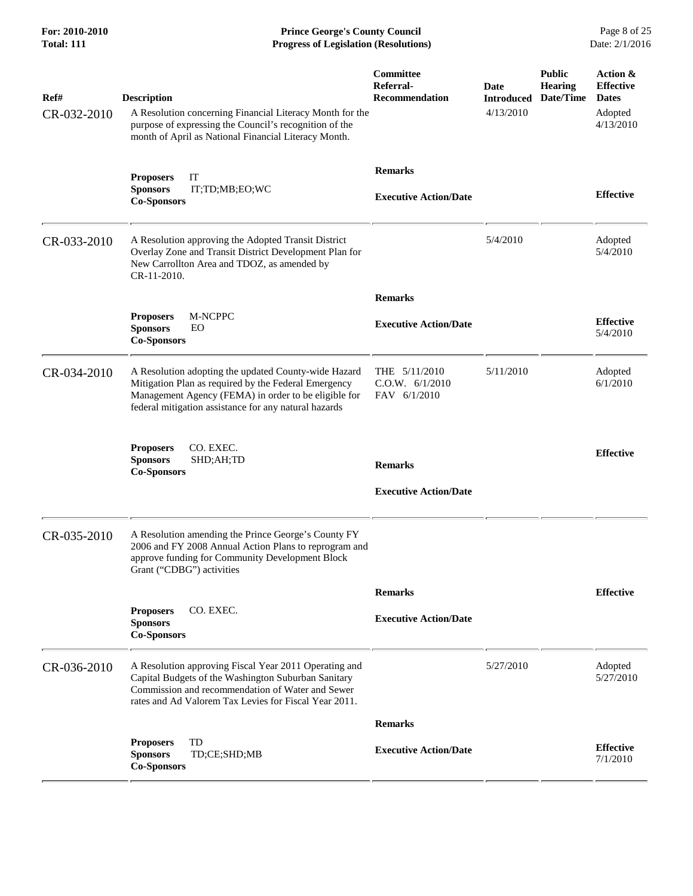**For: 2010-2010 Prince George's County Council** Page 8 of 25<br> **Formal: 111 Progress of Legislation (Resolutions)** Date: 2/1/2016 **Total: 111 Progress of Legislation (Resolutions)** 

| Ref#<br>CR-032-2010 | <b>Description</b><br>A Resolution concerning Financial Literacy Month for the<br>purpose of expressing the Council's recognition of the<br>month of April as National Financial Literacy Month.                              | Committee<br>Referral-<br><b>Recommendation</b>    | <b>Date</b><br><b>Introduced</b><br>4/13/2010 | <b>Public</b><br><b>Hearing</b><br>Date/Time | Action &<br><b>Effective</b><br><b>Dates</b><br>Adopted<br>4/13/2010 |
|---------------------|-------------------------------------------------------------------------------------------------------------------------------------------------------------------------------------------------------------------------------|----------------------------------------------------|-----------------------------------------------|----------------------------------------------|----------------------------------------------------------------------|
|                     | <b>Proposers</b><br>IT<br><b>Sponsors</b><br>IT;TD;MB;EO;WC<br><b>Co-Sponsors</b>                                                                                                                                             | <b>Remarks</b><br><b>Executive Action/Date</b>     |                                               |                                              | <b>Effective</b>                                                     |
| CR-033-2010         | A Resolution approving the Adopted Transit District<br>Overlay Zone and Transit District Development Plan for<br>New Carrollton Area and TDOZ, as amended by<br>CR-11-2010.                                                   |                                                    | 5/4/2010                                      |                                              | Adopted<br>5/4/2010                                                  |
|                     |                                                                                                                                                                                                                               | <b>Remarks</b>                                     |                                               |                                              |                                                                      |
|                     | <b>Proposers</b><br><b>M-NCPPC</b><br><b>Sponsors</b><br>EO<br><b>Co-Sponsors</b>                                                                                                                                             | <b>Executive Action/Date</b>                       |                                               |                                              | <b>Effective</b><br>5/4/2010                                         |
| CR-034-2010         | A Resolution adopting the updated County-wide Hazard<br>Mitigation Plan as required by the Federal Emergency<br>Management Agency (FEMA) in order to be eligible for<br>federal mitigation assistance for any natural hazards | THE $5/11/2010$<br>C.O.W. 6/1/2010<br>FAV 6/1/2010 | 5/11/2010                                     |                                              | Adopted<br>6/1/2010                                                  |
|                     | CO. EXEC.<br><b>Proposers</b><br><b>Sponsors</b><br>SHD;AH;TD<br><b>Co-Sponsors</b>                                                                                                                                           | <b>Remarks</b><br><b>Executive Action/Date</b>     |                                               |                                              | <b>Effective</b>                                                     |
| CR-035-2010         | A Resolution amending the Prince George's County FY<br>2006 and FY 2008 Annual Action Plans to reprogram and<br>approve funding for Community Development Block<br>Grant ("CDBG") activities                                  |                                                    |                                               |                                              |                                                                      |
|                     |                                                                                                                                                                                                                               | <b>Remarks</b>                                     |                                               |                                              | <b>Effective</b>                                                     |
|                     | CO. EXEC.<br><b>Proposers</b><br><b>Sponsors</b><br><b>Co-Sponsors</b>                                                                                                                                                        | <b>Executive Action/Date</b>                       |                                               |                                              |                                                                      |
| CR-036-2010         | A Resolution approving Fiscal Year 2011 Operating and<br>Capital Budgets of the Washington Suburban Sanitary<br>Commission and recommendation of Water and Sewer<br>rates and Ad Valorem Tax Levies for Fiscal Year 2011.     |                                                    | 5/27/2010                                     |                                              | Adopted<br>5/27/2010                                                 |
|                     |                                                                                                                                                                                                                               | <b>Remarks</b>                                     |                                               |                                              |                                                                      |
|                     | TD<br><b>Proposers</b><br><b>Sponsors</b><br>TD;CE;SHD;MB<br><b>Co-Sponsors</b>                                                                                                                                               | <b>Executive Action/Date</b>                       |                                               |                                              | <b>Effective</b><br>7/1/2010                                         |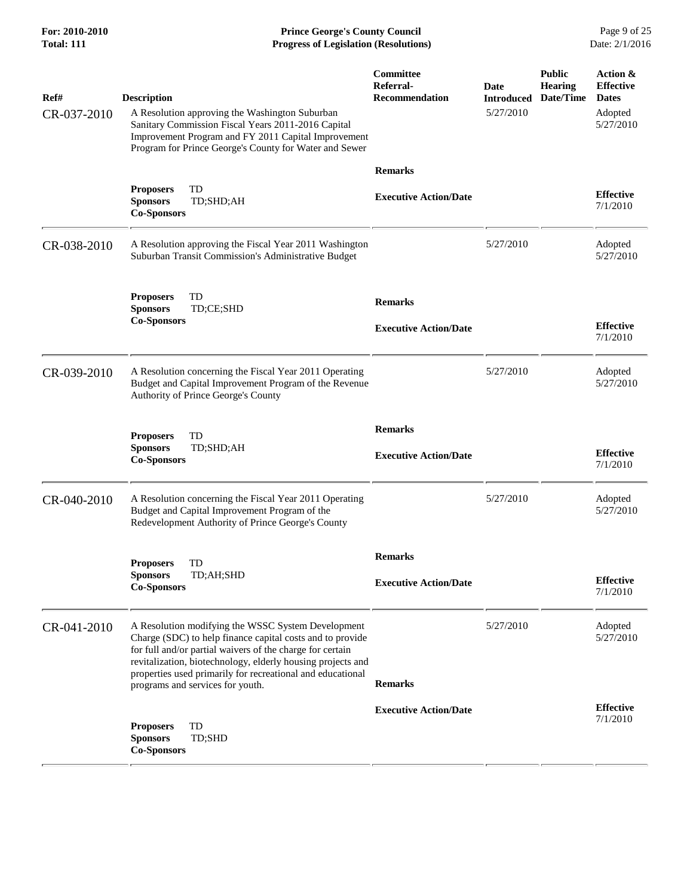**For: 2010-2010 Prince George's County Council** Page 9 of 25<br> **Formal: 111 Progress of Legislation (Resolutions)** Date: 2/1/2016 **Total: 111 Progress of Legislation (Resolutions)** 

| Ref#<br>CR-037-2010 | <b>Description</b><br>A Resolution approving the Washington Suburban<br>Sanitary Commission Fiscal Years 2011-2016 Capital<br>Improvement Program and FY 2011 Capital Improvement<br>Program for Prince George's County for Water and Sewer | Committee<br>Referral-<br>Recommendation       | Date<br><b>Introduced</b><br>5/27/2010 | <b>Public</b><br><b>Hearing</b><br>Date/Time | Action &<br><b>Effective</b><br><b>Dates</b><br>Adopted<br>5/27/2010 |
|---------------------|---------------------------------------------------------------------------------------------------------------------------------------------------------------------------------------------------------------------------------------------|------------------------------------------------|----------------------------------------|----------------------------------------------|----------------------------------------------------------------------|
|                     | TD<br><b>Proposers</b>                                                                                                                                                                                                                      | <b>Remarks</b><br><b>Executive Action/Date</b> |                                        |                                              | <b>Effective</b>                                                     |
|                     | <b>Sponsors</b><br>TD;SHD;AH<br><b>Co-Sponsors</b>                                                                                                                                                                                          |                                                |                                        |                                              | 7/1/2010                                                             |
| CR-038-2010         | A Resolution approving the Fiscal Year 2011 Washington<br>Suburban Transit Commission's Administrative Budget                                                                                                                               |                                                | 5/27/2010                              |                                              | Adopted<br>5/27/2010                                                 |
|                     | TD<br><b>Proposers</b>                                                                                                                                                                                                                      | <b>Remarks</b>                                 |                                        |                                              |                                                                      |
|                     | TD;CE;SHD<br><b>Sponsors</b><br><b>Co-Sponsors</b>                                                                                                                                                                                          | <b>Executive Action/Date</b>                   |                                        |                                              | <b>Effective</b><br>7/1/2010                                         |
| CR-039-2010         | A Resolution concerning the Fiscal Year 2011 Operating<br>Budget and Capital Improvement Program of the Revenue<br>Authority of Prince George's County                                                                                      |                                                | 5/27/2010                              |                                              | Adopted<br>5/27/2010                                                 |
|                     | TD<br><b>Proposers</b>                                                                                                                                                                                                                      | <b>Remarks</b>                                 |                                        |                                              |                                                                      |
|                     | TD;SHD;AH<br><b>Sponsors</b><br><b>Co-Sponsors</b>                                                                                                                                                                                          | <b>Executive Action/Date</b>                   |                                        |                                              | <b>Effective</b><br>7/1/2010                                         |
| CR-040-2010         | A Resolution concerning the Fiscal Year 2011 Operating<br>Budget and Capital Improvement Program of the<br>Redevelopment Authority of Prince George's County                                                                                |                                                | 5/27/2010                              |                                              | Adopted<br>5/27/2010                                                 |
|                     | TD<br><b>Proposers</b>                                                                                                                                                                                                                      | <b>Remarks</b>                                 |                                        |                                              |                                                                      |
|                     | <b>Sponsors</b><br>TD;AH;SHD<br><b>Co-Sponsors</b>                                                                                                                                                                                          | <b>Executive Action/Date</b>                   |                                        |                                              | <b>Effective</b><br>7/1/2010                                         |
| CR-041-2010         | A Resolution modifying the WSSC System Development<br>Charge (SDC) to help finance capital costs and to provide<br>for full and/or partial waivers of the charge for certain<br>revitalization, biotechnology, elderly housing projects and |                                                | 5/27/2010                              |                                              | Adopted<br>5/27/2010                                                 |
|                     | properties used primarily for recreational and educational<br>programs and services for youth.                                                                                                                                              | <b>Remarks</b>                                 |                                        |                                              |                                                                      |
|                     | TD<br><b>Proposers</b><br><b>Sponsors</b><br>TD;SHD<br><b>Co-Sponsors</b>                                                                                                                                                                   | <b>Executive Action/Date</b>                   |                                        |                                              | <b>Effective</b><br>7/1/2010                                         |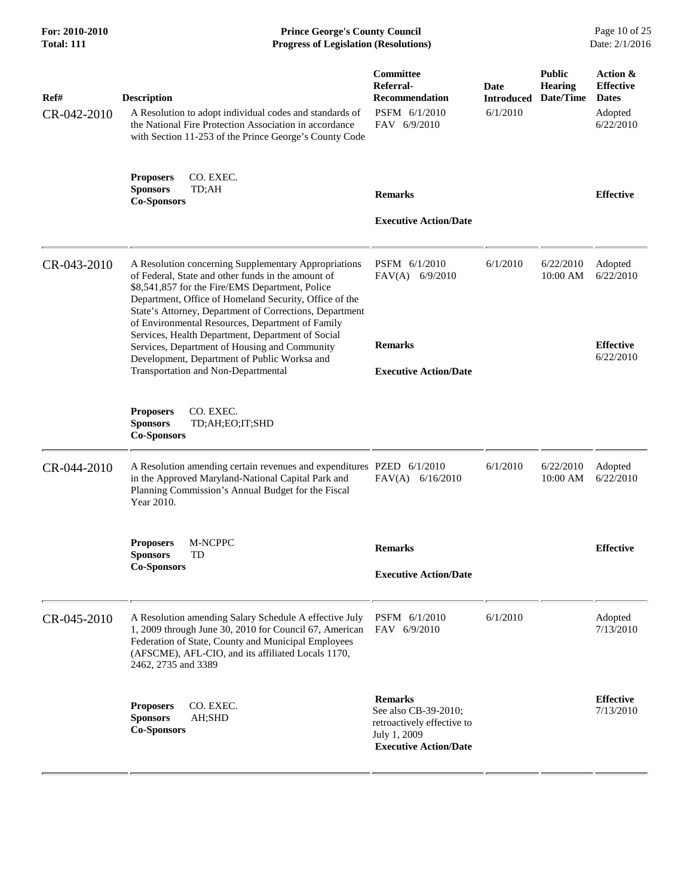| For: 2010-2010<br><b>Total: 111</b> | <b>Prince George's County Council</b><br>Page 10 of 25<br>Date: 2/1/2016<br><b>Progress of Legislation (Resolutions)</b>                                                                                                                                                                                                                                                                                                                                                                                                            |                                                                                                                      |                                       |                                              |                                                                      |
|-------------------------------------|-------------------------------------------------------------------------------------------------------------------------------------------------------------------------------------------------------------------------------------------------------------------------------------------------------------------------------------------------------------------------------------------------------------------------------------------------------------------------------------------------------------------------------------|----------------------------------------------------------------------------------------------------------------------|---------------------------------------|----------------------------------------------|----------------------------------------------------------------------|
| Ref#<br>CR-042-2010                 | <b>Description</b><br>A Resolution to adopt individual codes and standards of<br>the National Fire Protection Association in accordance<br>with Section 11-253 of the Prince George's County Code                                                                                                                                                                                                                                                                                                                                   | Committee<br>Referral-<br><b>Recommendation</b><br>PSFM 6/1/2010<br>FAV 6/9/2010                                     | Date<br><b>Introduced</b><br>6/1/2010 | <b>Public</b><br><b>Hearing</b><br>Date/Time | Action &<br><b>Effective</b><br><b>Dates</b><br>Adopted<br>6/22/2010 |
|                                     | CO. EXEC.<br><b>Proposers</b><br><b>Sponsors</b><br>TD;AH<br><b>Co-Sponsors</b>                                                                                                                                                                                                                                                                                                                                                                                                                                                     | <b>Remarks</b><br><b>Executive Action/Date</b>                                                                       |                                       |                                              | <b>Effective</b>                                                     |
| CR-043-2010                         | A Resolution concerning Supplementary Appropriations<br>of Federal, State and other funds in the amount of<br>\$8,541,857 for the Fire/EMS Department, Police<br>Department, Office of Homeland Security, Office of the<br>State's Attorney, Department of Corrections, Department<br>of Environmental Resources, Department of Family<br>Services, Health Department, Department of Social<br>Services, Department of Housing and Community<br>Development, Department of Public Worksa and<br>Transportation and Non-Departmental | PSFM 6/1/2010<br>$FAV(A)$ 6/9/2010<br><b>Remarks</b><br><b>Executive Action/Date</b>                                 | 6/1/2010                              | 6/22/2010<br>10:00 AM                        | Adopted<br>6/22/2010<br><b>Effective</b><br>6/22/2010                |
|                                     | CO. EXEC.<br><b>Proposers</b><br><b>Sponsors</b><br>TD;AH;EO;IT;SHD<br><b>Co-Sponsors</b>                                                                                                                                                                                                                                                                                                                                                                                                                                           |                                                                                                                      |                                       |                                              |                                                                      |
| CR-044-2010                         | A Resolution amending certain revenues and expenditures PZED 6/1/2010<br>in the Approved Maryland-National Capital Park and<br>Planning Commission's Annual Budget for the Fiscal<br>Year 2010.                                                                                                                                                                                                                                                                                                                                     | FAV(A)<br>6/16/2010                                                                                                  | 6/1/2010                              | 6/22/2010<br>10:00 AM                        | Adopted<br>6/22/2010                                                 |
|                                     | <b>Proposers</b><br>M-NCPPC<br><b>Sponsors</b><br>TD<br><b>Co-Sponsors</b>                                                                                                                                                                                                                                                                                                                                                                                                                                                          | <b>Remarks</b><br><b>Executive Action/Date</b>                                                                       |                                       |                                              | <b>Effective</b>                                                     |
| CR-045-2010                         | A Resolution amending Salary Schedule A effective July<br>1, 2009 through June 30, 2010 for Council 67, American<br>Federation of State, County and Municipal Employees<br>(AFSCME), AFL-CIO, and its affiliated Locals 1170,<br>2462, 2735 and 3389                                                                                                                                                                                                                                                                                | PSFM 6/1/2010<br>FAV 6/9/2010                                                                                        | 6/1/2010                              |                                              | Adopted<br>7/13/2010                                                 |
|                                     | CO. EXEC.<br><b>Proposers</b><br><b>Sponsors</b><br>AH;SHD<br><b>Co-Sponsors</b>                                                                                                                                                                                                                                                                                                                                                                                                                                                    | <b>Remarks</b><br>See also CB-39-2010;<br>retroactively effective to<br>July 1, 2009<br><b>Executive Action/Date</b> |                                       |                                              | <b>Effective</b><br>7/13/2010                                        |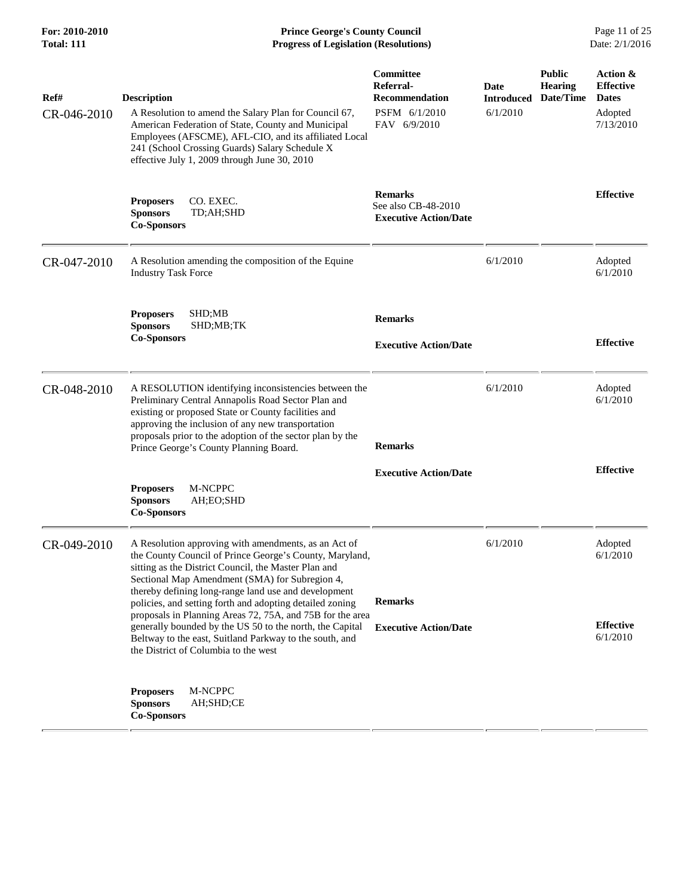**For: 2010-2010 Prince George's County Council** Page 11 of 25<br> **Prince George's County Council** Page 11 of 25<br> **Progress of Legislation (Resolutions)** Date: 2/1/2016 **Total: 111 Progress of Legislation (Resolutions)** 

| Ref#        | <b>Description</b>                                                                                                                                                                                                                                                                                                                                                                                         | Committee<br>Referral-<br><b>Recommendation</b>                       | <b>Date</b><br><b>Introduced</b> | <b>Public</b><br><b>Hearing</b><br>Date/Time | Action &<br><b>Effective</b><br><b>Dates</b> |
|-------------|------------------------------------------------------------------------------------------------------------------------------------------------------------------------------------------------------------------------------------------------------------------------------------------------------------------------------------------------------------------------------------------------------------|-----------------------------------------------------------------------|----------------------------------|----------------------------------------------|----------------------------------------------|
| CR-046-2010 | A Resolution to amend the Salary Plan for Council 67,<br>American Federation of State, County and Municipal<br>Employees (AFSCME), AFL-CIO, and its affiliated Local<br>241 (School Crossing Guards) Salary Schedule X<br>effective July 1, 2009 through June 30, 2010                                                                                                                                     | PSFM 6/1/2010<br>FAV 6/9/2010                                         | 6/1/2010                         |                                              | Adopted<br>7/13/2010                         |
|             | <b>Proposers</b><br>CO. EXEC.<br><b>Sponsors</b><br>TD;AH;SHD<br><b>Co-Sponsors</b>                                                                                                                                                                                                                                                                                                                        | <b>Remarks</b><br>See also CB-48-2010<br><b>Executive Action/Date</b> |                                  |                                              | <b>Effective</b>                             |
| CR-047-2010 | A Resolution amending the composition of the Equine<br><b>Industry Task Force</b>                                                                                                                                                                                                                                                                                                                          |                                                                       | 6/1/2010                         |                                              | Adopted<br>6/1/2010                          |
|             | <b>Proposers</b><br>SHD;MB<br><b>Sponsors</b><br>SHD;MB;TK<br><b>Co-Sponsors</b>                                                                                                                                                                                                                                                                                                                           | <b>Remarks</b><br><b>Executive Action/Date</b>                        |                                  |                                              | <b>Effective</b>                             |
| CR-048-2010 | A RESOLUTION identifying inconsistencies between the<br>Preliminary Central Annapolis Road Sector Plan and<br>existing or proposed State or County facilities and<br>approving the inclusion of any new transportation<br>proposals prior to the adoption of the sector plan by the<br>Prince George's County Planning Board.                                                                              | <b>Remarks</b>                                                        | 6/1/2010                         |                                              | Adopted<br>6/1/2010                          |
|             | M-NCPPC<br><b>Proposers</b><br><b>Sponsors</b><br>AH;EO;SHD<br><b>Co-Sponsors</b>                                                                                                                                                                                                                                                                                                                          | <b>Executive Action/Date</b>                                          |                                  |                                              | <b>Effective</b>                             |
| CR-049-2010 | A Resolution approving with amendments, as an Act of<br>the County Council of Prince George's County, Maryland,<br>sitting as the District Council, the Master Plan and<br>Sectional Map Amendment (SMA) for Subregion 4,<br>thereby defining long-range land use and development<br>policies, and setting forth and adopting detailed zoning<br>proposals in Planning Areas 72, 75A, and 75B for the area | <b>Remarks</b>                                                        | 6/1/2010                         |                                              | Adopted<br>6/1/2010                          |
|             | generally bounded by the US 50 to the north, the Capital<br>Beltway to the east, Suitland Parkway to the south, and<br>the District of Columbia to the west                                                                                                                                                                                                                                                | <b>Executive Action/Date</b>                                          |                                  |                                              | <b>Effective</b><br>6/1/2010                 |
|             | M-NCPPC<br><b>Proposers</b><br><b>Sponsors</b><br>AH;SHD;CE<br><b>Co-Sponsors</b>                                                                                                                                                                                                                                                                                                                          |                                                                       |                                  |                                              |                                              |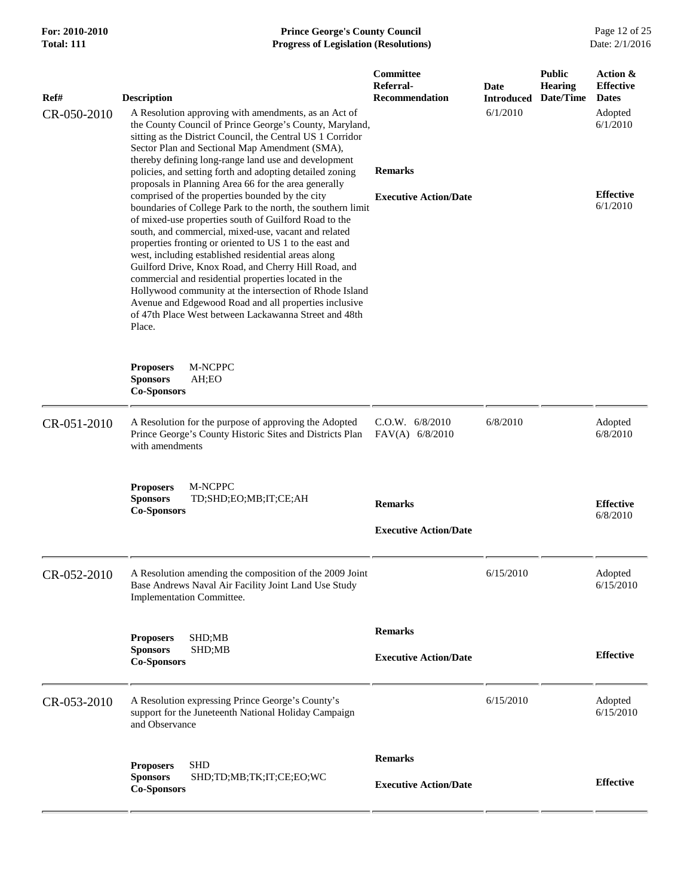## **For: 2010-2010 Prince George's County Council** Page 12 of 25<br> **Formal: 111 Progress of Legislation (Resolutions)** Date: 2/1/2016 **Total: 111 Progress of Legislation (Resolutions)**

| Ref#        | <b>Description</b>                                                                                                                                                                                                                                                                                                                                                                                                                                                                                                                                                                                                                                       | Committee<br>Referral-<br><b>Recommendation</b> | Date<br><b>Introduced</b> | <b>Public</b><br><b>Hearing</b><br>Date/Time | Action &<br><b>Effective</b><br><b>Dates</b> |
|-------------|----------------------------------------------------------------------------------------------------------------------------------------------------------------------------------------------------------------------------------------------------------------------------------------------------------------------------------------------------------------------------------------------------------------------------------------------------------------------------------------------------------------------------------------------------------------------------------------------------------------------------------------------------------|-------------------------------------------------|---------------------------|----------------------------------------------|----------------------------------------------|
| CR-050-2010 | A Resolution approving with amendments, as an Act of<br>the County Council of Prince George's County, Maryland,<br>sitting as the District Council, the Central US 1 Corridor<br>Sector Plan and Sectional Map Amendment (SMA),<br>thereby defining long-range land use and development<br>policies, and setting forth and adopting detailed zoning<br>proposals in Planning Area 66 for the area generally                                                                                                                                                                                                                                              | <b>Remarks</b>                                  | 6/1/2010                  |                                              | Adopted<br>6/1/2010                          |
|             | comprised of the properties bounded by the city<br>boundaries of College Park to the north, the southern limit<br>of mixed-use properties south of Guilford Road to the<br>south, and commercial, mixed-use, vacant and related<br>properties fronting or oriented to US 1 to the east and<br>west, including established residential areas along<br>Guilford Drive, Knox Road, and Cherry Hill Road, and<br>commercial and residential properties located in the<br>Hollywood community at the intersection of Rhode Island<br>Avenue and Edgewood Road and all properties inclusive<br>of 47th Place West between Lackawanna Street and 48th<br>Place. | <b>Executive Action/Date</b>                    |                           |                                              | <b>Effective</b><br>6/1/2010                 |
|             | <b>Proposers</b><br><b>M-NCPPC</b><br><b>Sponsors</b><br>AH;EO<br><b>Co-Sponsors</b>                                                                                                                                                                                                                                                                                                                                                                                                                                                                                                                                                                     |                                                 |                           |                                              |                                              |
| CR-051-2010 | A Resolution for the purpose of approving the Adopted<br>Prince George's County Historic Sites and Districts Plan<br>with amendments                                                                                                                                                                                                                                                                                                                                                                                                                                                                                                                     | C.O.W. 6/8/2010<br>$FAV(A)$ 6/8/2010            | 6/8/2010                  |                                              | Adopted<br>6/8/2010                          |
|             | <b>Proposers</b><br>M-NCPPC<br><b>Sponsors</b><br>TD;SHD;EO;MB;IT;CE;AH<br><b>Co-Sponsors</b>                                                                                                                                                                                                                                                                                                                                                                                                                                                                                                                                                            | <b>Remarks</b><br><b>Executive Action/Date</b>  |                           |                                              | <b>Effective</b><br>6/8/2010                 |
| CR-052-2010 | A Resolution amending the composition of the 2009 Joint<br>Base Andrews Naval Air Facility Joint Land Use Study<br>Implementation Committee.                                                                                                                                                                                                                                                                                                                                                                                                                                                                                                             |                                                 | 6/15/2010                 |                                              | Adopted<br>6/15/2010                         |
|             | SHD;MB<br><b>Proposers</b><br><b>Sponsors</b><br>SHD;MB<br><b>Co-Sponsors</b>                                                                                                                                                                                                                                                                                                                                                                                                                                                                                                                                                                            | <b>Remarks</b><br><b>Executive Action/Date</b>  |                           |                                              | <b>Effective</b>                             |
| CR-053-2010 | A Resolution expressing Prince George's County's<br>support for the Juneteenth National Holiday Campaign<br>and Observance                                                                                                                                                                                                                                                                                                                                                                                                                                                                                                                               |                                                 | 6/15/2010                 |                                              | Adopted<br>6/15/2010                         |
|             | <b>SHD</b><br><b>Proposers</b><br><b>Sponsors</b><br>SHD;TD;MB;TK;IT;CE;EO;WC<br><b>Co-Sponsors</b>                                                                                                                                                                                                                                                                                                                                                                                                                                                                                                                                                      | <b>Remarks</b><br><b>Executive Action/Date</b>  |                           |                                              | <b>Effective</b>                             |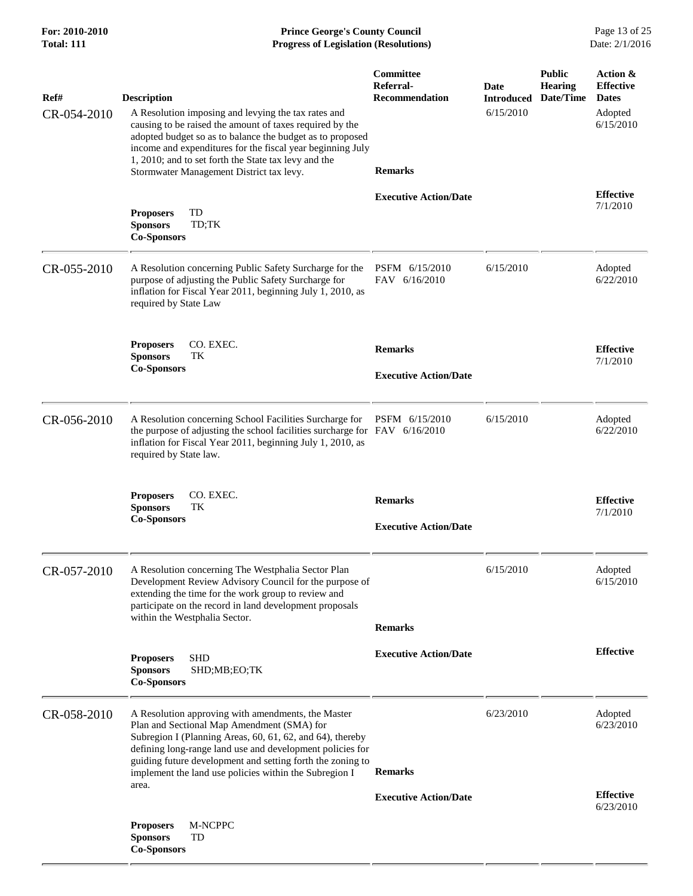| For: 2010-2010<br><b>Total: 111</b> | <b>Prince George's County Council</b><br>Date: 2/1/2016<br><b>Progress of Legislation (Resolutions)</b>                                                                                                                                                                                                                                                              |                                                                   |                                        |                                              |                                                                      |
|-------------------------------------|----------------------------------------------------------------------------------------------------------------------------------------------------------------------------------------------------------------------------------------------------------------------------------------------------------------------------------------------------------------------|-------------------------------------------------------------------|----------------------------------------|----------------------------------------------|----------------------------------------------------------------------|
| Ref#<br>CR-054-2010                 | <b>Description</b><br>A Resolution imposing and levying the tax rates and<br>causing to be raised the amount of taxes required by the<br>adopted budget so as to balance the budget as to proposed<br>income and expenditures for the fiscal year beginning July<br>1, 2010; and to set forth the State tax levy and the<br>Stormwater Management District tax levy. | Committee<br>Referral-<br><b>Recommendation</b><br><b>Remarks</b> | Date<br><b>Introduced</b><br>6/15/2010 | <b>Public</b><br><b>Hearing</b><br>Date/Time | Action &<br><b>Effective</b><br><b>Dates</b><br>Adopted<br>6/15/2010 |
|                                     | TD<br><b>Proposers</b><br><b>Sponsors</b><br>TD;TK<br><b>Co-Sponsors</b>                                                                                                                                                                                                                                                                                             | <b>Executive Action/Date</b>                                      |                                        |                                              | <b>Effective</b><br>7/1/2010                                         |
| CR-055-2010                         | A Resolution concerning Public Safety Surcharge for the<br>purpose of adjusting the Public Safety Surcharge for<br>inflation for Fiscal Year 2011, beginning July 1, 2010, as<br>required by State Law                                                                                                                                                               | PSFM 6/15/2010<br>FAV 6/16/2010                                   | 6/15/2010                              |                                              | Adopted<br>6/22/2010                                                 |
|                                     | CO. EXEC.<br><b>Proposers</b><br><b>Sponsors</b><br>TК<br><b>Co-Sponsors</b>                                                                                                                                                                                                                                                                                         | <b>Remarks</b><br><b>Executive Action/Date</b>                    |                                        |                                              | <b>Effective</b><br>7/1/2010                                         |
| CR-056-2010                         | A Resolution concerning School Facilities Surcharge for<br>the purpose of adjusting the school facilities surcharge for FAV 6/16/2010<br>inflation for Fiscal Year 2011, beginning July 1, 2010, as<br>required by State law.                                                                                                                                        | PSFM 6/15/2010                                                    | 6/15/2010                              |                                              | Adopted<br>6/22/2010                                                 |
|                                     | CO. EXEC.<br><b>Proposers</b><br>TK<br><b>Sponsors</b><br><b>Co-Sponsors</b>                                                                                                                                                                                                                                                                                         | <b>Remarks</b><br><b>Executive Action/Date</b>                    |                                        |                                              | <b>Effective</b><br>7/1/2010                                         |
| CR-057-2010                         | A Resolution concerning The Westphalia Sector Plan<br>Development Review Advisory Council for the purpose of<br>extending the time for the work group to review and<br>participate on the record in land development proposals<br>within the Westphalia Sector.                                                                                                      | <b>Remarks</b>                                                    | 6/15/2010                              |                                              | Adopted<br>6/15/2010                                                 |
|                                     | <b>SHD</b><br><b>Proposers</b><br><b>Sponsors</b><br>SHD;MB;EO;TK<br><b>Co-Sponsors</b>                                                                                                                                                                                                                                                                              | <b>Executive Action/Date</b>                                      |                                        |                                              | <b>Effective</b>                                                     |
| CR-058-2010                         | A Resolution approving with amendments, the Master<br>Plan and Sectional Map Amendment (SMA) for<br>Subregion I (Planning Areas, 60, 61, 62, and 64), thereby<br>defining long-range land use and development policies for<br>guiding future development and setting forth the zoning to<br>implement the land use policies within the Subregion I<br>area.          | <b>Remarks</b>                                                    | 6/23/2010                              |                                              | Adopted<br>6/23/2010                                                 |
|                                     | <b>Proposers</b><br>M-NCPPC<br><b>Sponsors</b><br>TD<br><b>Co-Sponsors</b>                                                                                                                                                                                                                                                                                           | <b>Executive Action/Date</b>                                      |                                        |                                              | <b>Effective</b><br>6/23/2010                                        |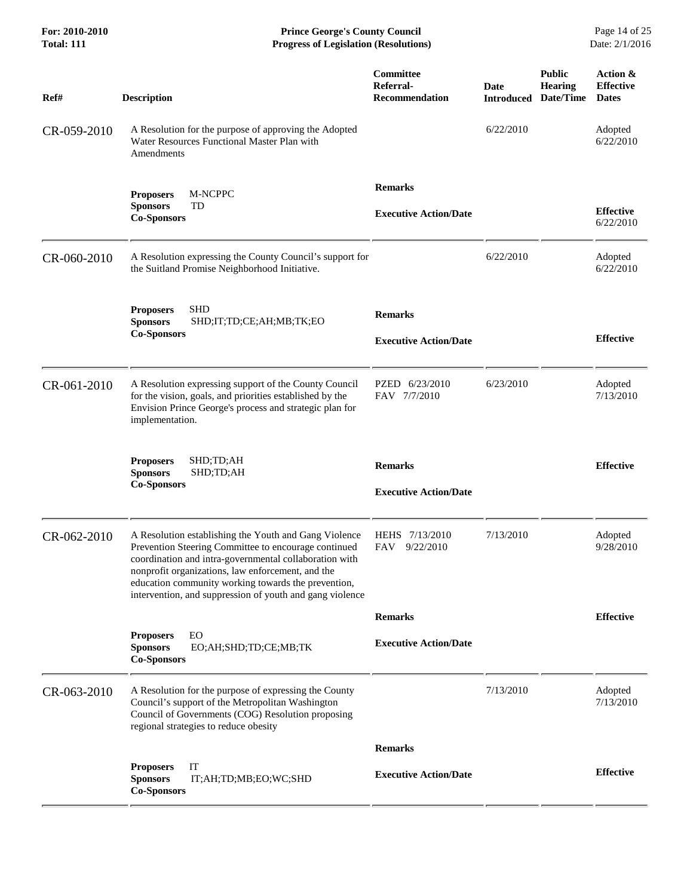| For: 2010-2010<br><b>Total: 111</b> | <b>Prince George's County Council</b><br><b>Progress of Legislation (Resolutions)</b><br>Date: 2/1/2016                                                                                                                                                                                                                                         |                                                        |                           |                                              |                                              |
|-------------------------------------|-------------------------------------------------------------------------------------------------------------------------------------------------------------------------------------------------------------------------------------------------------------------------------------------------------------------------------------------------|--------------------------------------------------------|---------------------------|----------------------------------------------|----------------------------------------------|
| Ref#                                | <b>Description</b>                                                                                                                                                                                                                                                                                                                              | <b>Committee</b><br>Referral-<br><b>Recommendation</b> | Date<br><b>Introduced</b> | <b>Public</b><br><b>Hearing</b><br>Date/Time | Action &<br><b>Effective</b><br><b>Dates</b> |
| CR-059-2010                         | A Resolution for the purpose of approving the Adopted<br>Water Resources Functional Master Plan with<br>Amendments                                                                                                                                                                                                                              |                                                        | 6/22/2010                 |                                              | Adopted<br>6/22/2010                         |
|                                     | M-NCPPC<br><b>Proposers</b><br><b>Sponsors</b><br>TD<br><b>Co-Sponsors</b>                                                                                                                                                                                                                                                                      | <b>Remarks</b><br><b>Executive Action/Date</b>         |                           |                                              | <b>Effective</b><br>6/22/2010                |
| CR-060-2010                         | A Resolution expressing the County Council's support for<br>the Suitland Promise Neighborhood Initiative.                                                                                                                                                                                                                                       |                                                        | 6/22/2010                 |                                              | Adopted<br>6/22/2010                         |
|                                     | <b>SHD</b><br><b>Proposers</b><br><b>Sponsors</b><br>SHD;IT;TD;CE;AH;MB;TK;EO<br><b>Co-Sponsors</b>                                                                                                                                                                                                                                             | <b>Remarks</b><br><b>Executive Action/Date</b>         |                           |                                              | <b>Effective</b>                             |
| CR-061-2010                         | A Resolution expressing support of the County Council<br>for the vision, goals, and priorities established by the<br>Envision Prince George's process and strategic plan for<br>implementation.                                                                                                                                                 | PZED 6/23/2010<br>FAV 7/7/2010                         | 6/23/2010                 |                                              | Adopted<br>7/13/2010                         |
|                                     | <b>Proposers</b><br>SHD;TD;AH<br><b>Sponsors</b><br>SHD;TD;AH<br><b>Co-Sponsors</b>                                                                                                                                                                                                                                                             | <b>Remarks</b><br><b>Executive Action/Date</b>         |                           |                                              | <b>Effective</b>                             |
| CR-062-2010                         | A Resolution establishing the Youth and Gang Violence<br>Prevention Steering Committee to encourage continued<br>coordination and intra-governmental collaboration with<br>nonprofit organizations, law enforcement, and the<br>education community working towards the prevention,<br>intervention, and suppression of youth and gang violence | HEHS 7/13/2010<br>9/22/2010<br>FAV                     | 7/13/2010                 |                                              | Adopted<br>9/28/2010                         |
|                                     |                                                                                                                                                                                                                                                                                                                                                 | <b>Remarks</b>                                         |                           |                                              | <b>Effective</b>                             |
|                                     | EO<br><b>Proposers</b><br><b>Sponsors</b><br>EO;AH;SHD;TD;CE;MB;TK<br><b>Co-Sponsors</b>                                                                                                                                                                                                                                                        | <b>Executive Action/Date</b>                           |                           |                                              |                                              |
| CR-063-2010                         | A Resolution for the purpose of expressing the County<br>Council's support of the Metropolitan Washington<br>Council of Governments (COG) Resolution proposing<br>regional strategies to reduce obesity                                                                                                                                         |                                                        | 7/13/2010                 |                                              | Adopted<br>7/13/2010                         |
|                                     |                                                                                                                                                                                                                                                                                                                                                 | <b>Remarks</b>                                         |                           |                                              |                                              |
|                                     | IT<br><b>Proposers</b><br><b>Sponsors</b><br>IT;AH;TD;MB;EO;WC;SHD<br><b>Co-Sponsors</b>                                                                                                                                                                                                                                                        | <b>Executive Action/Date</b>                           |                           |                                              | <b>Effective</b>                             |
|                                     |                                                                                                                                                                                                                                                                                                                                                 |                                                        |                           |                                              |                                              |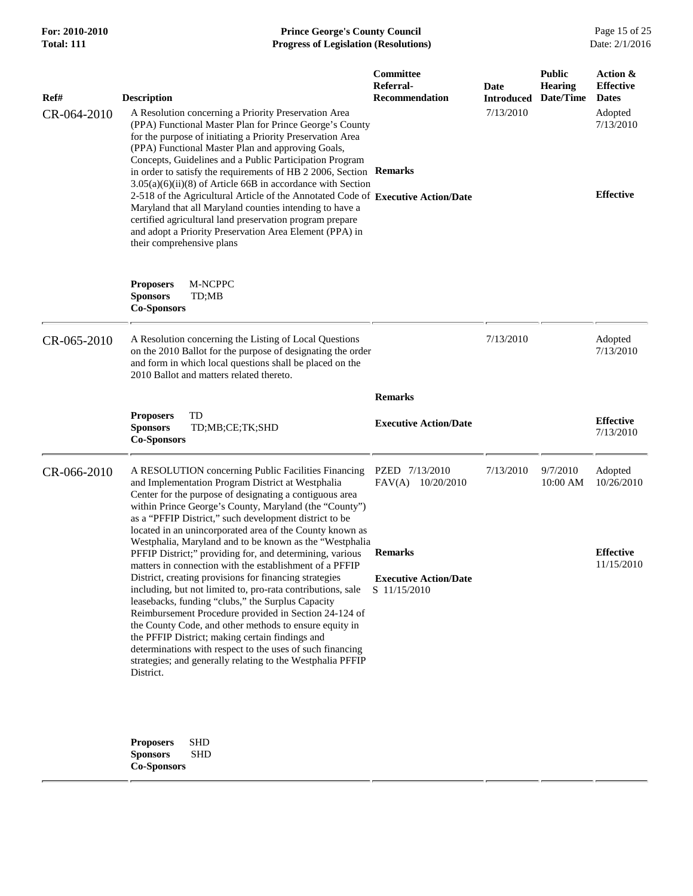| <b>For: 2010-2010</b><br><b>Total: 111</b> | <b>Prince George's County Council</b><br><b>Progress of Legislation (Resolutions)</b>                                                                                                                                                                                                                                                                                                                                                                                                                                                                                                                                                                                                                                                                         |                                                        |                                        |                                              | Page 15 of 25<br>Date: 2/1/2016                                                          |  |
|--------------------------------------------|---------------------------------------------------------------------------------------------------------------------------------------------------------------------------------------------------------------------------------------------------------------------------------------------------------------------------------------------------------------------------------------------------------------------------------------------------------------------------------------------------------------------------------------------------------------------------------------------------------------------------------------------------------------------------------------------------------------------------------------------------------------|--------------------------------------------------------|----------------------------------------|----------------------------------------------|------------------------------------------------------------------------------------------|--|
| Ref#<br>CR-064-2010                        | <b>Description</b><br>A Resolution concerning a Priority Preservation Area<br>(PPA) Functional Master Plan for Prince George's County<br>for the purpose of initiating a Priority Preservation Area<br>(PPA) Functional Master Plan and approving Goals,<br>Concepts, Guidelines and a Public Participation Program<br>in order to satisfy the requirements of HB 2 2006, Section Remarks<br>$3.05(a)(6)(ii)(8)$ of Article 66B in accordance with Section<br>2-518 of the Agricultural Article of the Annotated Code of Executive Action/Date<br>Maryland that all Maryland counties intending to have a<br>certified agricultural land preservation program prepare<br>and adopt a Priority Preservation Area Element (PPA) in<br>their comprehensive plans | <b>Committee</b><br>Referral-<br><b>Recommendation</b> | Date<br><b>Introduced</b><br>7/13/2010 | <b>Public</b><br><b>Hearing</b><br>Date/Time | Action &<br><b>Effective</b><br><b>Dates</b><br>Adopted<br>7/13/2010<br><b>Effective</b> |  |
|                                            | M-NCPPC<br><b>Proposers</b><br><b>Sponsors</b><br>TD;MB<br><b>Co-Sponsors</b>                                                                                                                                                                                                                                                                                                                                                                                                                                                                                                                                                                                                                                                                                 |                                                        |                                        |                                              |                                                                                          |  |
| CR-065-2010                                | A Resolution concerning the Listing of Local Questions<br>on the 2010 Ballot for the purpose of designating the order<br>and form in which local questions shall be placed on the<br>2010 Ballot and matters related thereto.                                                                                                                                                                                                                                                                                                                                                                                                                                                                                                                                 |                                                        | 7/13/2010                              |                                              | Adopted<br>7/13/2010                                                                     |  |

 **Remarks**

|             | <b>TD</b><br><b>Proposers</b><br>TD;MB;CE;TK;SHD<br><b>Sponsors</b><br><b>Co-Sponsors</b>                                                                                                                                                                                                                                                                                                                                                                                                                                                                                                                                                                                   | <b>Executive Action/Date</b>                                   |                      | <b>Effective</b><br>7/13/2010  |
|-------------|-----------------------------------------------------------------------------------------------------------------------------------------------------------------------------------------------------------------------------------------------------------------------------------------------------------------------------------------------------------------------------------------------------------------------------------------------------------------------------------------------------------------------------------------------------------------------------------------------------------------------------------------------------------------------------|----------------------------------------------------------------|----------------------|--------------------------------|
| CR-066-2010 | A RESOLUTION concerning Public Facilities Financing<br>and Implementation Program District at Westphalia<br>Center for the purpose of designating a contiguous area<br>within Prince George's County, Maryland (the "County")<br>as a "PFFIP District," such development district to be<br>located in an unincorporated area of the County known as                                                                                                                                                                                                                                                                                                                         | 7/13/2010<br>7/13/2010<br>PZED<br>10/20/2010<br>FAV(A)         | 9/7/2010<br>10:00 AM | Adopted<br>10/26/2010          |
|             | Westphalia, Maryland and to be known as the "Westphalia"<br>PFFIP District;" providing for, and determining, various<br>matters in connection with the establishment of a PFFIP<br>District, creating provisions for financing strategies<br>including, but not limited to, pro-rata contributions, sale<br>leasebacks, funding "clubs," the Surplus Capacity<br>Reimbursement Procedure provided in Section 24-124 of<br>the County Code, and other methods to ensure equity in<br>the PFFIP District; making certain findings and<br>determinations with respect to the uses of such financing<br>strategies; and generally relating to the Westphalia PFFIP<br>District. | <b>Remarks</b><br><b>Executive Action/Date</b><br>S 11/15/2010 |                      | <b>Effective</b><br>11/15/2010 |
|             |                                                                                                                                                                                                                                                                                                                                                                                                                                                                                                                                                                                                                                                                             |                                                                |                      |                                |

**Proposers** SHD **Sponsors** SHD **Co-Sponsors**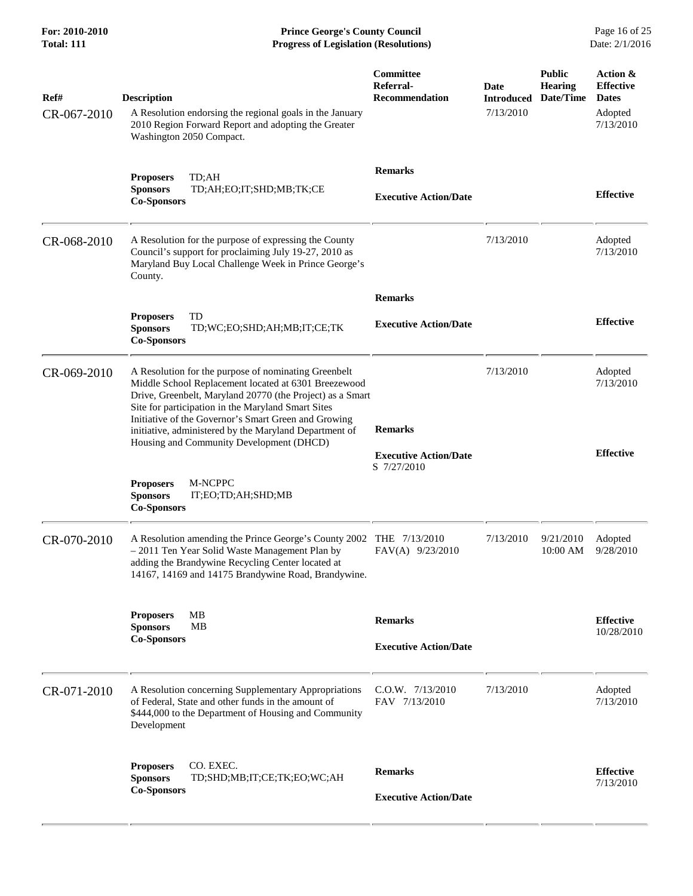**For: 2010-2010 Prince George's County Council** Page 16 of 25<br> **Formal: 111 Progress of Legislation (Resolutions)** Date: 2/1/2016 **Total: 111 Progress of Legislation (Resolutions)** 

| Ref#<br>CR-067-2010 | <b>Description</b><br>A Resolution endorsing the regional goals in the January<br>2010 Region Forward Report and adopting the Greater<br>Washington 2050 Compact.                                                                                                                                                                                                                             | Committee<br>Referral-<br><b>Recommendation</b> | Date<br><b>Introduced</b><br>7/13/2010 | <b>Public</b><br><b>Hearing</b><br>Date/Time | Action &<br><b>Effective</b><br><b>Dates</b><br>Adopted<br>7/13/2010 |
|---------------------|-----------------------------------------------------------------------------------------------------------------------------------------------------------------------------------------------------------------------------------------------------------------------------------------------------------------------------------------------------------------------------------------------|-------------------------------------------------|----------------------------------------|----------------------------------------------|----------------------------------------------------------------------|
|                     | TD;AH<br><b>Proposers</b><br><b>Sponsors</b><br>TD;AH;EO;IT;SHD;MB;TK;CE<br><b>Co-Sponsors</b>                                                                                                                                                                                                                                                                                                | <b>Remarks</b><br><b>Executive Action/Date</b>  |                                        |                                              | <b>Effective</b>                                                     |
| CR-068-2010         | A Resolution for the purpose of expressing the County<br>Council's support for proclaiming July 19-27, 2010 as<br>Maryland Buy Local Challenge Week in Prince George's<br>County.                                                                                                                                                                                                             |                                                 | 7/13/2010                              |                                              | Adopted<br>7/13/2010                                                 |
|                     | TD<br><b>Proposers</b><br><b>Sponsors</b><br>TD;WC;EO;SHD;AH;MB;IT;CE;TK<br><b>Co-Sponsors</b>                                                                                                                                                                                                                                                                                                | <b>Remarks</b><br><b>Executive Action/Date</b>  |                                        |                                              | <b>Effective</b>                                                     |
| CR-069-2010         | A Resolution for the purpose of nominating Greenbelt<br>Middle School Replacement located at 6301 Breezewood<br>Drive, Greenbelt, Maryland 20770 (the Project) as a Smart<br>Site for participation in the Maryland Smart Sites<br>Initiative of the Governor's Smart Green and Growing<br>initiative, administered by the Maryland Department of<br>Housing and Community Development (DHCD) | <b>Remarks</b><br><b>Executive Action/Date</b>  | 7/13/2010                              |                                              | Adopted<br>7/13/2010<br><b>Effective</b>                             |
|                     | <b>Proposers</b><br>M-NCPPC<br><b>Sponsors</b><br>IT;EO;TD;AH;SHD;MB<br><b>Co-Sponsors</b>                                                                                                                                                                                                                                                                                                    | S 7/27/2010                                     |                                        |                                              |                                                                      |
| CR-070-2010         | A Resolution amending the Prince George's County 2002 THE 7/13/2010<br>- 2011 Ten Year Solid Waste Management Plan by<br>adding the Brandywine Recycling Center located at<br>14167, 14169 and 14175 Brandywine Road, Brandywine.                                                                                                                                                             | FAV(A) 9/23/2010                                | 7/13/2010                              | 9/21/2010<br>10:00 AM                        | Adopted<br>9/28/2010                                                 |
|                     | <b>Proposers</b><br>MВ<br><b>MB</b><br><b>Sponsors</b><br><b>Co-Sponsors</b>                                                                                                                                                                                                                                                                                                                  | <b>Remarks</b><br><b>Executive Action/Date</b>  |                                        |                                              | <b>Effective</b><br>10/28/2010                                       |
| CR-071-2010         | A Resolution concerning Supplementary Appropriations<br>of Federal, State and other funds in the amount of<br>\$444,000 to the Department of Housing and Community<br>Development                                                                                                                                                                                                             | C.O.W. 7/13/2010<br>FAV 7/13/2010               | 7/13/2010                              |                                              | Adopted<br>7/13/2010                                                 |
|                     | CO. EXEC.<br><b>Proposers</b><br><b>Sponsors</b><br>TD;SHD;MB;IT;CE;TK;EO;WC;AH<br><b>Co-Sponsors</b>                                                                                                                                                                                                                                                                                         | <b>Remarks</b><br><b>Executive Action/Date</b>  |                                        |                                              | <b>Effective</b><br>7/13/2010                                        |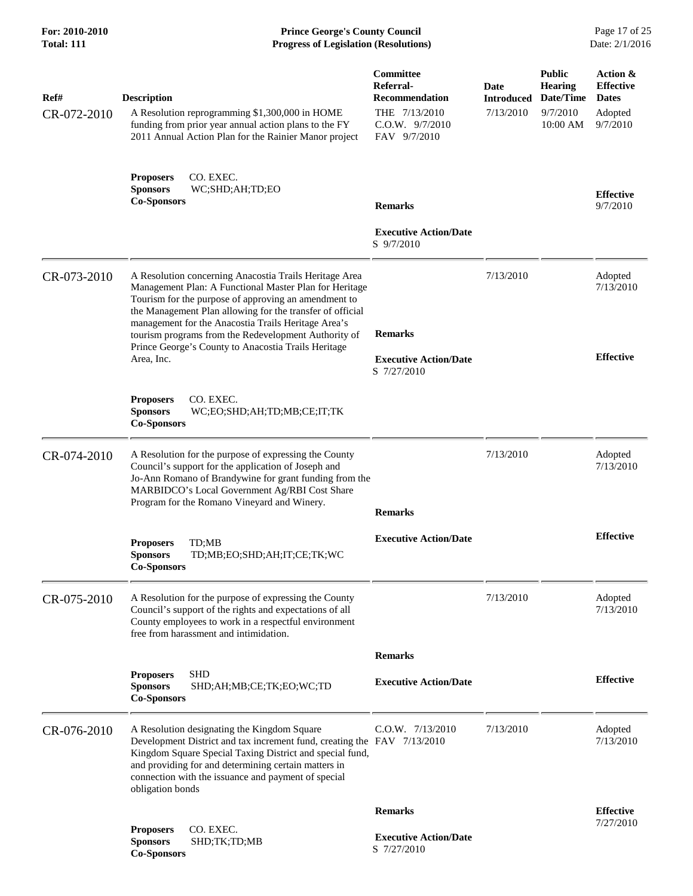**For: 2010-2010 Prince George's County Council** Page 17 of 25<br> **Prince George's County Council** Page 17 of 25<br> **Progress of Legislation (Resolutions)** Date: 2/1/2016 **Total: 111 Progress of Legislation (Resolutions)** 

| Ref#<br>CR-072-2010 | <b>Description</b><br>A Resolution reprogramming \$1,300,000 in HOME<br>funding from prior year annual action plans to the FY                                                                                                                                                                                         | Committee<br>Referral-<br><b>Recommendation</b><br>THE 7/13/2010<br>C.O.W. 9/7/2010 | Date<br><b>Introduced</b><br>7/13/2010 | <b>Public</b><br><b>Hearing</b><br>Date/Time<br>9/7/2010<br>10:00 AM | Action &<br><b>Effective</b><br><b>Dates</b><br>Adopted<br>9/7/2010 |
|---------------------|-----------------------------------------------------------------------------------------------------------------------------------------------------------------------------------------------------------------------------------------------------------------------------------------------------------------------|-------------------------------------------------------------------------------------|----------------------------------------|----------------------------------------------------------------------|---------------------------------------------------------------------|
|                     | 2011 Annual Action Plan for the Rainier Manor project<br><b>Proposers</b><br>CO. EXEC.                                                                                                                                                                                                                                | FAV 9/7/2010                                                                        |                                        |                                                                      |                                                                     |
|                     | WC;SHD;AH;TD;EO<br><b>Sponsors</b><br><b>Co-Sponsors</b>                                                                                                                                                                                                                                                              | <b>Remarks</b>                                                                      |                                        |                                                                      | <b>Effective</b><br>9/7/2010                                        |
|                     |                                                                                                                                                                                                                                                                                                                       | <b>Executive Action/Date</b><br>S 9/7/2010                                          |                                        |                                                                      |                                                                     |
| CR-073-2010         | A Resolution concerning Anacostia Trails Heritage Area<br>Management Plan: A Functional Master Plan for Heritage<br>Tourism for the purpose of approving an amendment to<br>the Management Plan allowing for the transfer of official                                                                                 |                                                                                     | 7/13/2010                              |                                                                      | Adopted<br>7/13/2010                                                |
|                     | management for the Anacostia Trails Heritage Area's<br>tourism programs from the Redevelopment Authority of<br>Prince George's County to Anacostia Trails Heritage<br>Area, Inc.                                                                                                                                      | <b>Remarks</b><br><b>Executive Action/Date</b><br>S 7/27/2010                       |                                        |                                                                      | <b>Effective</b>                                                    |
|                     | <b>Proposers</b><br>CO. EXEC.<br><b>Sponsors</b><br>WC;EO;SHD;AH;TD;MB;CE;IT;TK<br><b>Co-Sponsors</b>                                                                                                                                                                                                                 |                                                                                     |                                        |                                                                      |                                                                     |
| CR-074-2010         | A Resolution for the purpose of expressing the County<br>Council's support for the application of Joseph and<br>Jo-Ann Romano of Brandywine for grant funding from the<br>MARBIDCO's Local Government Ag/RBI Cost Share<br>Program for the Romano Vineyard and Winery.                                                | <b>Remarks</b>                                                                      | 7/13/2010                              |                                                                      | Adopted<br>7/13/2010                                                |
|                     | TD;MB<br><b>Proposers</b><br><b>Sponsors</b><br>TD;MB;EO;SHD;AH;IT;CE;TK;WC<br><b>Co-Sponsors</b>                                                                                                                                                                                                                     | <b>Executive Action/Date</b>                                                        |                                        |                                                                      | <b>Effective</b>                                                    |
| CR-075-2010         | A Resolution for the purpose of expressing the County<br>Council's support of the rights and expectations of all<br>County employees to work in a respectful environment<br>free from harassment and intimidation.                                                                                                    |                                                                                     | 7/13/2010                              |                                                                      | Adopted<br>7/13/2010                                                |
|                     |                                                                                                                                                                                                                                                                                                                       | <b>Remarks</b>                                                                      |                                        |                                                                      |                                                                     |
|                     | <b>SHD</b><br><b>Proposers</b><br><b>Sponsors</b><br>SHD;AH;MB;CE;TK;EO;WC;TD<br><b>Co-Sponsors</b>                                                                                                                                                                                                                   | <b>Executive Action/Date</b>                                                        |                                        |                                                                      | <b>Effective</b>                                                    |
| CR-076-2010         | A Resolution designating the Kingdom Square<br>Development District and tax increment fund, creating the FAV 7/13/2010<br>Kingdom Square Special Taxing District and special fund,<br>and providing for and determining certain matters in<br>connection with the issuance and payment of special<br>obligation bonds | $C.0.W.$ $7/13/2010$                                                                | 7/13/2010                              |                                                                      | Adopted<br>7/13/2010                                                |
|                     |                                                                                                                                                                                                                                                                                                                       | <b>Remarks</b>                                                                      |                                        |                                                                      | <b>Effective</b>                                                    |
|                     | CO. EXEC.<br><b>Proposers</b><br><b>Sponsors</b><br>SHD;TK;TD;MB<br><b>Co-Sponsors</b>                                                                                                                                                                                                                                | <b>Executive Action/Date</b><br>S 7/27/2010                                         |                                        |                                                                      | 7/27/2010                                                           |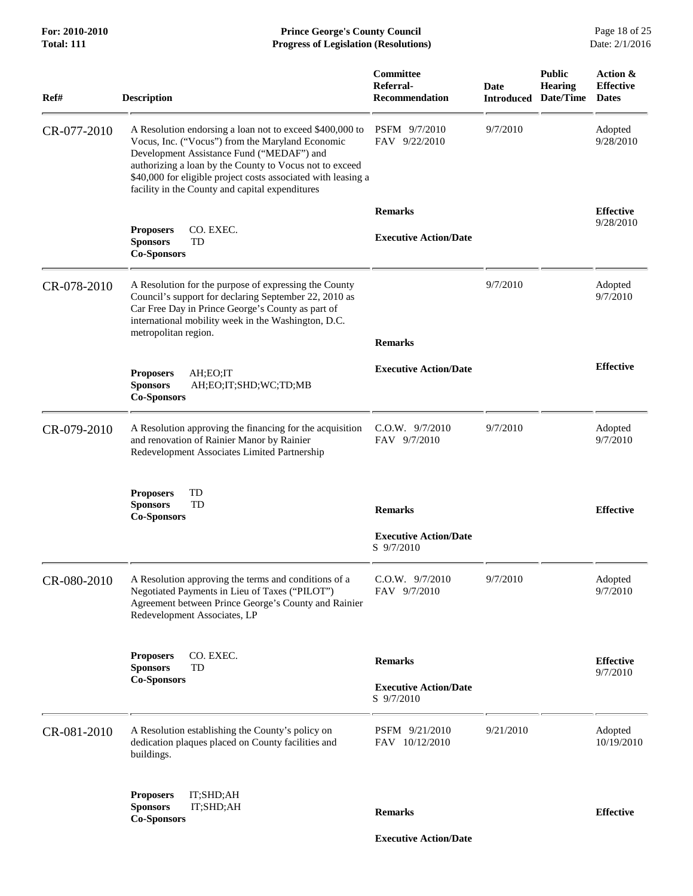**For: 2010-2010 Prince George's County Council** Page 18 of 25<br> **Prince George's County Council** Page 18 of 25<br> **Progress of Legislation (Resolutions)** Date: 2/1/2016 **Total: 111 Progress of Legislation (Resolutions)** 

| Ref#        | <b>Description</b>                                                                                                                                                                                                                                                                                                                       | Committee<br>Referral-<br><b>Recommendation</b> | Date<br><b>Introduced</b> | <b>Public</b><br><b>Hearing</b><br>Date/Time | Action &<br><b>Effective</b><br><b>Dates</b> |
|-------------|------------------------------------------------------------------------------------------------------------------------------------------------------------------------------------------------------------------------------------------------------------------------------------------------------------------------------------------|-------------------------------------------------|---------------------------|----------------------------------------------|----------------------------------------------|
| CR-077-2010 | A Resolution endorsing a loan not to exceed \$400,000 to<br>Vocus, Inc. ("Vocus") from the Maryland Economic<br>Development Assistance Fund ("MEDAF") and<br>authorizing a loan by the County to Vocus not to exceed<br>\$40,000 for eligible project costs associated with leasing a<br>facility in the County and capital expenditures | PSFM 9/7/2010<br>FAV 9/22/2010                  | 9/7/2010                  |                                              | Adopted<br>9/28/2010                         |
|             |                                                                                                                                                                                                                                                                                                                                          | <b>Remarks</b>                                  |                           |                                              | <b>Effective</b>                             |
|             | CO. EXEC.<br><b>Proposers</b><br><b>Sponsors</b><br>TD<br><b>Co-Sponsors</b>                                                                                                                                                                                                                                                             | <b>Executive Action/Date</b>                    |                           |                                              | 9/28/2010                                    |
| CR-078-2010 | A Resolution for the purpose of expressing the County<br>Council's support for declaring September 22, 2010 as<br>Car Free Day in Prince George's County as part of<br>international mobility week in the Washington, D.C.<br>metropolitan region.                                                                                       |                                                 | 9/7/2010                  |                                              | Adopted<br>9/7/2010                          |
|             |                                                                                                                                                                                                                                                                                                                                          | <b>Remarks</b>                                  |                           |                                              |                                              |
|             | <b>Proposers</b><br>AH;EO;IT<br><b>Sponsors</b><br>AH;EO;IT;SHD;WC;TD;MB<br><b>Co-Sponsors</b>                                                                                                                                                                                                                                           | <b>Executive Action/Date</b>                    |                           |                                              | <b>Effective</b>                             |
| CR-079-2010 | A Resolution approving the financing for the acquisition<br>and renovation of Rainier Manor by Rainier<br>Redevelopment Associates Limited Partnership                                                                                                                                                                                   | C.O.W. 9/7/2010<br>FAV 9/7/2010                 | 9/7/2010                  |                                              | Adopted<br>9/7/2010                          |
|             | TD<br><b>Proposers</b><br>TD<br><b>Sponsors</b><br><b>Co-Sponsors</b>                                                                                                                                                                                                                                                                    | <b>Remarks</b>                                  |                           |                                              | <b>Effective</b>                             |
|             |                                                                                                                                                                                                                                                                                                                                          | <b>Executive Action/Date</b><br>S 9/7/2010      |                           |                                              |                                              |
| CR-080-2010 | A Resolution approving the terms and conditions of a<br>Negotiated Payments in Lieu of Taxes ("PILOT")<br>Agreement between Prince George's County and Rainier<br>Redevelopment Associates, LP                                                                                                                                           | $C.0.W.$ $9/7/2010$<br>FAV 9/7/2010             | 9/7/2010                  |                                              | Adopted<br>9/7/2010                          |
|             | CO. EXEC.<br><b>Proposers</b><br><b>Sponsors</b><br>TD                                                                                                                                                                                                                                                                                   | <b>Remarks</b>                                  |                           |                                              | <b>Effective</b><br>9/7/2010                 |
|             | <b>Co-Sponsors</b>                                                                                                                                                                                                                                                                                                                       | <b>Executive Action/Date</b><br>S 9/7/2010      |                           |                                              |                                              |
| CR-081-2010 | A Resolution establishing the County's policy on<br>dedication plaques placed on County facilities and<br>buildings.                                                                                                                                                                                                                     | PSFM 9/21/2010<br>FAV 10/12/2010                | 9/21/2010                 |                                              | Adopted<br>10/19/2010                        |
|             | <b>Proposers</b><br>IT;SHD;AH<br>IT;SHD;AH<br><b>Sponsors</b><br><b>Co-Sponsors</b>                                                                                                                                                                                                                                                      | <b>Remarks</b>                                  |                           |                                              | <b>Effective</b>                             |
|             |                                                                                                                                                                                                                                                                                                                                          | <b>Executive Action/Date</b>                    |                           |                                              |                                              |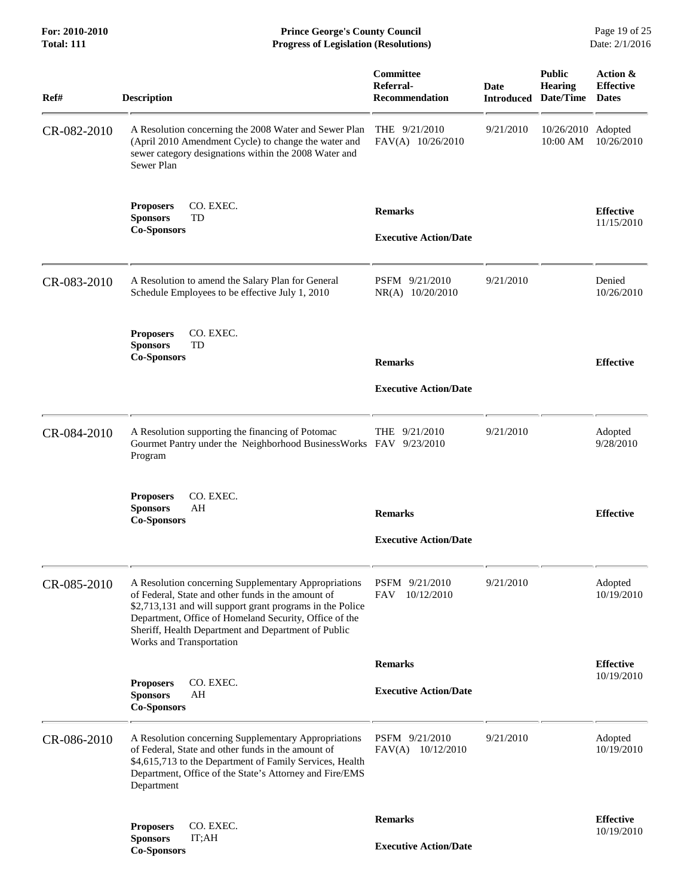**For: 2010-2010 Prince George's County Council** Page 19 of 25<br> **Prince George's County Council** Page 19 of 25<br> **Progress of Legislation (Resolutions)** Date: 2/1/2016 **Total: 111 Progress of Legislation (Resolutions)** 

| Ref#        | <b>Description</b>                                                                                                                                                                                                                                                                                                   | Committee<br>Referral-<br><b>Recommendation</b> | <b>Date</b><br><b>Introduced</b> | <b>Public</b><br><b>Hearing</b><br>Date/Time | Action &<br><b>Effective</b><br><b>Dates</b> |
|-------------|----------------------------------------------------------------------------------------------------------------------------------------------------------------------------------------------------------------------------------------------------------------------------------------------------------------------|-------------------------------------------------|----------------------------------|----------------------------------------------|----------------------------------------------|
| CR-082-2010 | A Resolution concerning the 2008 Water and Sewer Plan<br>(April 2010 Amendment Cycle) to change the water and<br>sewer category designations within the 2008 Water and<br>Sewer Plan                                                                                                                                 | THE $9/21/2010$<br>FAV(A) 10/26/2010            | 9/21/2010                        | 10/26/2010 Adopted<br>10:00 AM               | 10/26/2010                                   |
|             | <b>Proposers</b><br>CO. EXEC.<br><b>Sponsors</b><br>TD<br><b>Co-Sponsors</b>                                                                                                                                                                                                                                         | <b>Remarks</b><br><b>Executive Action/Date</b>  |                                  |                                              | <b>Effective</b><br>11/15/2010               |
| CR-083-2010 | A Resolution to amend the Salary Plan for General<br>Schedule Employees to be effective July 1, 2010                                                                                                                                                                                                                 | PSFM 9/21/2010<br>NR(A) 10/20/2010              | 9/21/2010                        |                                              | Denied<br>10/26/2010                         |
|             | CO. EXEC.<br><b>Proposers</b><br>TD<br><b>Sponsors</b><br><b>Co-Sponsors</b>                                                                                                                                                                                                                                         | <b>Remarks</b><br><b>Executive Action/Date</b>  |                                  |                                              | <b>Effective</b>                             |
| CR-084-2010 | A Resolution supporting the financing of Potomac<br>Gourmet Pantry under the Neighborhood BusinessWorks FAV 9/23/2010<br>Program                                                                                                                                                                                     | THE 9/21/2010                                   | 9/21/2010                        |                                              | Adopted<br>9/28/2010                         |
|             | CO. EXEC.<br><b>Proposers</b><br>AH<br><b>Sponsors</b><br><b>Co-Sponsors</b>                                                                                                                                                                                                                                         | <b>Remarks</b><br><b>Executive Action/Date</b>  |                                  |                                              | <b>Effective</b>                             |
| CR-085-2010 | A Resolution concerning Supplementary Appropriations<br>of Federal, State and other funds in the amount of<br>\$2,713,131 and will support grant programs in the Police<br>Department, Office of Homeland Security, Office of the<br>Sheriff, Health Department and Department of Public<br>Works and Transportation | PSFM 9/21/2010<br>FAV<br>10/12/2010             | 9/21/2010                        |                                              | Adopted<br>10/19/2010                        |
|             |                                                                                                                                                                                                                                                                                                                      | <b>Remarks</b>                                  |                                  |                                              | <b>Effective</b>                             |
|             | CO. EXEC.<br><b>Proposers</b><br>AH<br><b>Sponsors</b><br><b>Co-Sponsors</b>                                                                                                                                                                                                                                         | <b>Executive Action/Date</b>                    |                                  |                                              | 10/19/2010                                   |
| CR-086-2010 | A Resolution concerning Supplementary Appropriations<br>of Federal, State and other funds in the amount of<br>\$4,615,713 to the Department of Family Services, Health<br>Department, Office of the State's Attorney and Fire/EMS<br>Department                                                                      | PSFM 9/21/2010<br>FAV(A)<br>10/12/2010          | 9/21/2010                        |                                              | Adopted<br>10/19/2010                        |
|             | CO. EXEC.<br><b>Proposers</b>                                                                                                                                                                                                                                                                                        | <b>Remarks</b>                                  |                                  |                                              | <b>Effective</b>                             |
|             | <b>Sponsors</b><br>IT;AH<br><b>Co-Sponsors</b>                                                                                                                                                                                                                                                                       | <b>Executive Action/Date</b>                    |                                  |                                              | 10/19/2010                                   |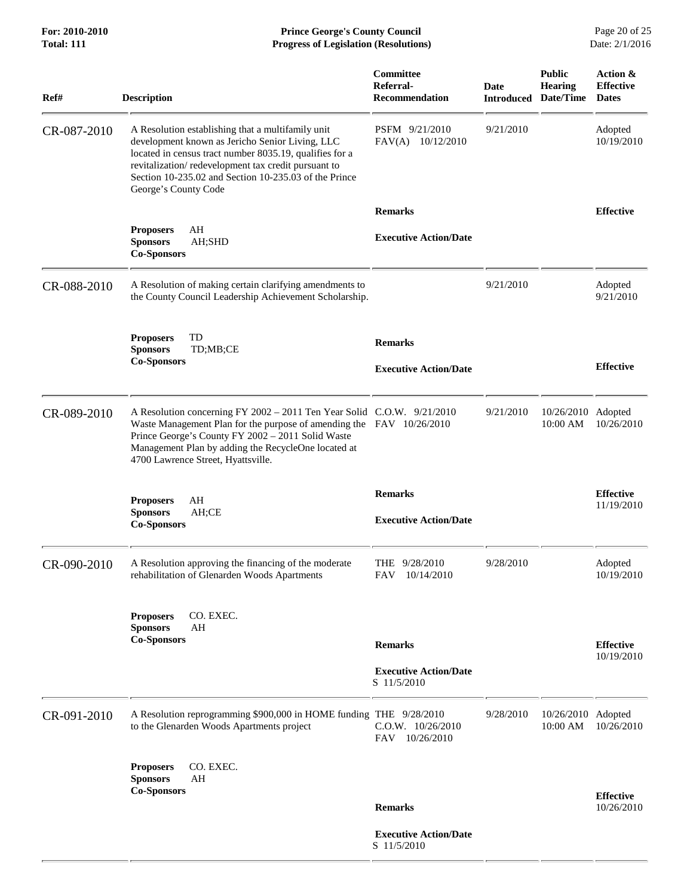| Ref#        | <b>Description</b>                                                                                                                                                                                                                                                                                      | Committee<br>Referral-<br><b>Recommendation</b> | Date<br><b>Introduced</b> | <b>Public</b><br><b>Hearing</b><br>Date/Time | Action &<br><b>Effective</b><br><b>Dates</b> |
|-------------|---------------------------------------------------------------------------------------------------------------------------------------------------------------------------------------------------------------------------------------------------------------------------------------------------------|-------------------------------------------------|---------------------------|----------------------------------------------|----------------------------------------------|
| CR-087-2010 | A Resolution establishing that a multifamily unit<br>development known as Jericho Senior Living, LLC<br>located in census tract number 8035.19, qualifies for a<br>revitalization/redevelopment tax credit pursuant to<br>Section 10-235.02 and Section 10-235.03 of the Prince<br>George's County Code | PSFM 9/21/2010<br>FAV(A) 10/12/2010             | 9/21/2010                 |                                              | Adopted<br>10/19/2010                        |
|             |                                                                                                                                                                                                                                                                                                         | <b>Remarks</b>                                  |                           |                                              | <b>Effective</b>                             |
|             | AH<br><b>Proposers</b><br><b>Sponsors</b><br>AH;SHD<br><b>Co-Sponsors</b>                                                                                                                                                                                                                               | <b>Executive Action/Date</b>                    |                           |                                              |                                              |
| CR-088-2010 | A Resolution of making certain clarifying amendments to<br>the County Council Leadership Achievement Scholarship.                                                                                                                                                                                       |                                                 | 9/21/2010                 |                                              | Adopted<br>9/21/2010                         |
|             | TD<br><b>Proposers</b><br><b>Sponsors</b><br>TD;MB;CE<br><b>Co-Sponsors</b>                                                                                                                                                                                                                             | <b>Remarks</b><br><b>Executive Action/Date</b>  |                           |                                              | <b>Effective</b>                             |
|             |                                                                                                                                                                                                                                                                                                         |                                                 |                           |                                              |                                              |
| CR-089-2010 | A Resolution concerning FY 2002 - 2011 Ten Year Solid C.O.W. 9/21/2010<br>Waste Management Plan for the purpose of amending the FAV 10/26/2010<br>Prince George's County FY 2002 - 2011 Solid Waste<br>Management Plan by adding the RecycleOne located at<br>4700 Lawrence Street, Hyattsville.        |                                                 | 9/21/2010                 | 10/26/2010 Adopted<br>10:00 AM               | 10/26/2010                                   |
|             | AH<br><b>Proposers</b><br><b>Sponsors</b><br>AH;CE<br><b>Co-Sponsors</b>                                                                                                                                                                                                                                | <b>Remarks</b><br><b>Executive Action/Date</b>  |                           |                                              | <b>Effective</b><br>11/19/2010               |
| CR-090-2010 | A Resolution approving the financing of the moderate<br>rehabilitation of Glenarden Woods Apartments                                                                                                                                                                                                    | THE 9/28/2010<br>10/14/2010<br>FAV              | 9/28/2010                 |                                              | Adopted<br>10/19/2010                        |
|             | CO. EXEC.<br><b>Proposers</b><br>AH<br><b>Sponsors</b><br><b>Co-Sponsors</b>                                                                                                                                                                                                                            | <b>Remarks</b>                                  |                           |                                              |                                              |
|             |                                                                                                                                                                                                                                                                                                         |                                                 |                           |                                              | <b>Effective</b><br>10/19/2010               |
|             |                                                                                                                                                                                                                                                                                                         | <b>Executive Action/Date</b><br>S 11/5/2010     |                           |                                              |                                              |
| CR-091-2010 | A Resolution reprogramming \$900,000 in HOME funding THE 9/28/2010<br>to the Glenarden Woods Apartments project                                                                                                                                                                                         | C.O.W. 10/26/2010<br>FAV 10/26/2010             | 9/28/2010                 | 10/26/2010 Adopted<br>10:00 AM               | 10/26/2010                                   |
|             | <b>Proposers</b><br>CO. EXEC.                                                                                                                                                                                                                                                                           |                                                 |                           |                                              |                                              |
|             | <b>Sponsors</b><br>AH<br><b>Co-Sponsors</b>                                                                                                                                                                                                                                                             |                                                 |                           |                                              | <b>Effective</b>                             |
|             |                                                                                                                                                                                                                                                                                                         | <b>Remarks</b>                                  |                           |                                              | 10/26/2010                                   |
|             |                                                                                                                                                                                                                                                                                                         | <b>Executive Action/Date</b><br>S 11/5/2010     |                           |                                              |                                              |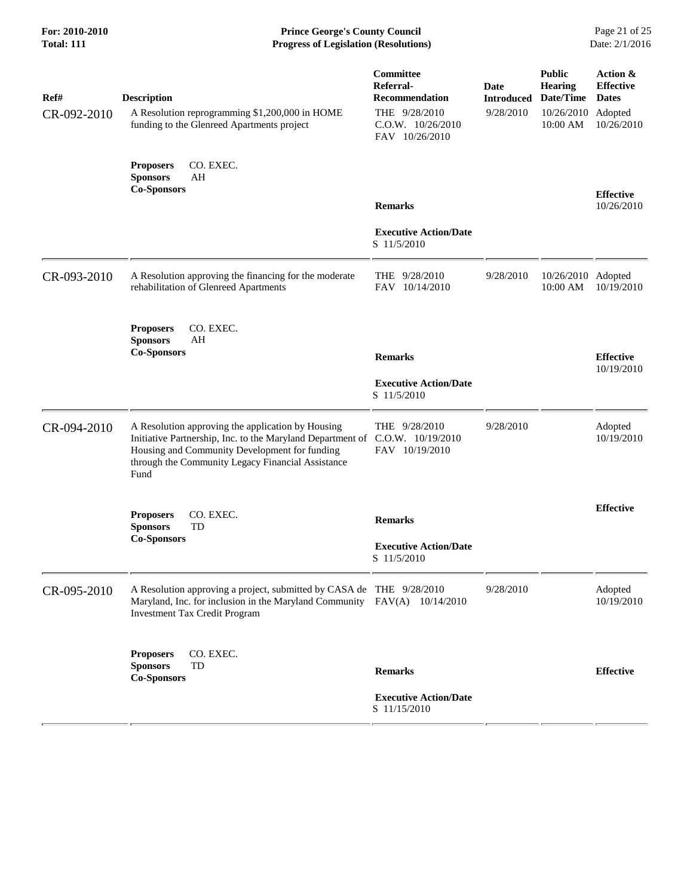**For: 2010-2010 Prince George's County Council** Page 21 of 25<br> **Formal: 111 Progress of Legislation (Resolutions)** Date: 2/1/2016 **Total: 111 Progress of Legislation (Resolutions)** 

| Ref#<br>CR-092-2010 | <b>Description</b><br>A Resolution reprogramming \$1,200,000 in HOME<br>funding to the Glenreed Apartments project                                                                                                                              | Committee<br>Referral-<br><b>Recommendation</b><br>THE 9/28/2010<br>$C.0.W.$ $10/26/2010$<br>FAV 10/26/2010 | Date<br><b>Introduced</b><br>9/28/2010 | <b>Public</b><br><b>Hearing</b><br>Date/Time<br>10/26/2010 Adopted<br>10:00 AM | Action &<br><b>Effective</b><br><b>Dates</b><br>10/26/2010 |
|---------------------|-------------------------------------------------------------------------------------------------------------------------------------------------------------------------------------------------------------------------------------------------|-------------------------------------------------------------------------------------------------------------|----------------------------------------|--------------------------------------------------------------------------------|------------------------------------------------------------|
|                     | CO. EXEC.<br><b>Proposers</b><br><b>Sponsors</b><br>AH<br><b>Co-Sponsors</b>                                                                                                                                                                    | <b>Remarks</b>                                                                                              |                                        |                                                                                | <b>Effective</b><br>10/26/2010                             |
|                     |                                                                                                                                                                                                                                                 | <b>Executive Action/Date</b><br>S 11/5/2010                                                                 |                                        |                                                                                |                                                            |
| CR-093-2010         | A Resolution approving the financing for the moderate<br>rehabilitation of Glenreed Apartments                                                                                                                                                  | THE 9/28/2010<br>FAV 10/14/2010                                                                             | 9/28/2010                              | 10/26/2010 Adopted<br>10:00 AM                                                 | 10/19/2010                                                 |
|                     | CO. EXEC.<br><b>Proposers</b><br><b>Sponsors</b><br>AH<br><b>Co-Sponsors</b>                                                                                                                                                                    | <b>Remarks</b><br><b>Executive Action/Date</b><br>S 11/5/2010                                               |                                        |                                                                                | <b>Effective</b><br>10/19/2010                             |
| CR-094-2010         | A Resolution approving the application by Housing<br>Initiative Partnership, Inc. to the Maryland Department of C.O.W. 10/19/2010<br>Housing and Community Development for funding<br>through the Community Legacy Financial Assistance<br>Fund | THE $9/28/2010$<br>FAV 10/19/2010                                                                           | 9/28/2010                              |                                                                                | Adopted<br>10/19/2010                                      |
|                     | CO. EXEC.<br><b>Proposers</b><br><b>Sponsors</b><br>TD<br><b>Co-Sponsors</b>                                                                                                                                                                    | <b>Remarks</b><br><b>Executive Action/Date</b><br>S 11/5/2010                                               |                                        |                                                                                | <b>Effective</b>                                           |
| CR-095-2010         | A Resolution approving a project, submitted by CASA de THE 9/28/2010<br>Maryland, Inc. for inclusion in the Maryland Community FAV(A) 10/14/2010<br><b>Investment Tax Credit Program</b>                                                        |                                                                                                             | 9/28/2010                              |                                                                                | Adopted<br>10/19/2010                                      |
|                     | CO. EXEC.<br><b>Proposers</b><br>TD<br><b>Sponsors</b><br><b>Co-Sponsors</b>                                                                                                                                                                    | <b>Remarks</b><br><b>Executive Action/Date</b><br>S 11/15/2010                                              |                                        |                                                                                | <b>Effective</b>                                           |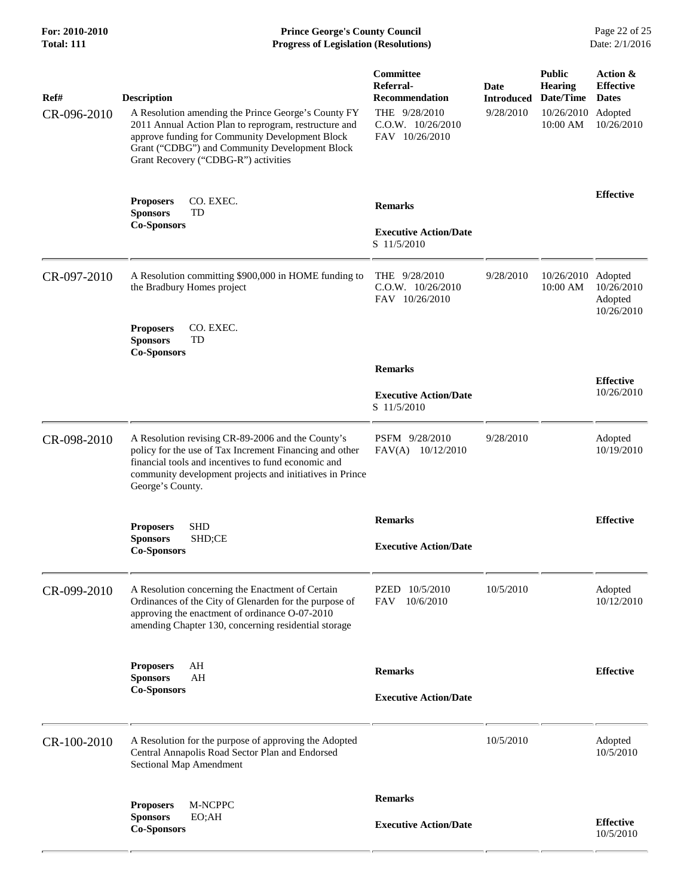## **For: 2010-2010 Prince George's County Council** Page 22 of 25<br>**Total: 111 Progress of Legislation (Resolutions)** Date: 2/1/2016 **Total: 111 Progress of Legislation (Resolutions)**

| Ref#        | <b>Description</b>                                                                                                                                                                                                                                        | Committee<br>Referral-<br><b>Recommendation</b>            | Date<br><b>Introduced</b> | <b>Public</b><br><b>Hearing</b><br>Date/Time | Action &<br><b>Effective</b><br><b>Dates</b> |
|-------------|-----------------------------------------------------------------------------------------------------------------------------------------------------------------------------------------------------------------------------------------------------------|------------------------------------------------------------|---------------------------|----------------------------------------------|----------------------------------------------|
| CR-096-2010 | A Resolution amending the Prince George's County FY<br>2011 Annual Action Plan to reprogram, restructure and<br>approve funding for Community Development Block<br>Grant ("CDBG") and Community Development Block<br>Grant Recovery ("CDBG-R") activities | THE 9/28/2010<br>$C.0.W.$ $10/26/2010$<br>FAV 10/26/2010   | 9/28/2010                 | 10/26/2010<br>10:00 AM                       | Adopted<br>10/26/2010                        |
|             | <b>Proposers</b><br>CO. EXEC.<br><b>Sponsors</b><br>TD                                                                                                                                                                                                    | <b>Remarks</b>                                             |                           |                                              | <b>Effective</b>                             |
|             | <b>Co-Sponsors</b>                                                                                                                                                                                                                                        | <b>Executive Action/Date</b><br>S 11/5/2010                |                           |                                              |                                              |
| CR-097-2010 | A Resolution committing \$900,000 in HOME funding to<br>the Bradbury Homes project                                                                                                                                                                        | THE $9/28/2010$<br>$C.0.W.$ $10/26/2010$<br>FAV 10/26/2010 | 9/28/2010                 | 10/26/2010 Adopted<br>$10:00$ AM             | 10/26/2010<br>Adopted<br>10/26/2010          |
|             | CO. EXEC.<br><b>Proposers</b><br><b>Sponsors</b><br>TD<br><b>Co-Sponsors</b>                                                                                                                                                                              |                                                            |                           |                                              |                                              |
|             |                                                                                                                                                                                                                                                           | <b>Remarks</b>                                             |                           |                                              | <b>Effective</b>                             |
|             |                                                                                                                                                                                                                                                           | <b>Executive Action/Date</b><br>S 11/5/2010                |                           |                                              | 10/26/2010                                   |
| CR-098-2010 | A Resolution revising CR-89-2006 and the County's<br>policy for the use of Tax Increment Financing and other<br>financial tools and incentives to fund economic and<br>community development projects and initiatives in Prince<br>George's County.       | PSFM 9/28/2010<br>FAV(A) 10/12/2010                        | 9/28/2010                 |                                              | Adopted<br>10/19/2010                        |
|             | <b>Proposers</b><br><b>SHD</b>                                                                                                                                                                                                                            | <b>Remarks</b>                                             |                           |                                              | <b>Effective</b>                             |
|             | <b>Sponsors</b><br>SHD;CE<br><b>Co-Sponsors</b>                                                                                                                                                                                                           | <b>Executive Action/Date</b>                               |                           |                                              |                                              |
| CR-099-2010 | A Resolution concerning the Enactment of Certain<br>Ordinances of the City of Glenarden for the purpose of<br>approving the enactment of ordinance O-07-2010<br>amending Chapter 130, concerning residential storage                                      | PZED 10/5/2010<br><b>FAV</b><br>10/6/2010                  | 10/5/2010                 |                                              | Adopted<br>10/12/2010                        |
|             | AH<br><b>Proposers</b><br>AH<br><b>Sponsors</b>                                                                                                                                                                                                           | <b>Remarks</b>                                             |                           |                                              | <b>Effective</b>                             |
|             | <b>Co-Sponsors</b>                                                                                                                                                                                                                                        | <b>Executive Action/Date</b>                               |                           |                                              |                                              |
| CR-100-2010 | A Resolution for the purpose of approving the Adopted<br>Central Annapolis Road Sector Plan and Endorsed<br>Sectional Map Amendment                                                                                                                       |                                                            | 10/5/2010                 |                                              | Adopted<br>10/5/2010                         |
|             | M-NCPPC<br><b>Proposers</b>                                                                                                                                                                                                                               | <b>Remarks</b>                                             |                           |                                              |                                              |
|             | <b>Sponsors</b><br>EO;AH<br><b>Co-Sponsors</b>                                                                                                                                                                                                            | <b>Executive Action/Date</b>                               |                           |                                              | <b>Effective</b><br>10/5/2010                |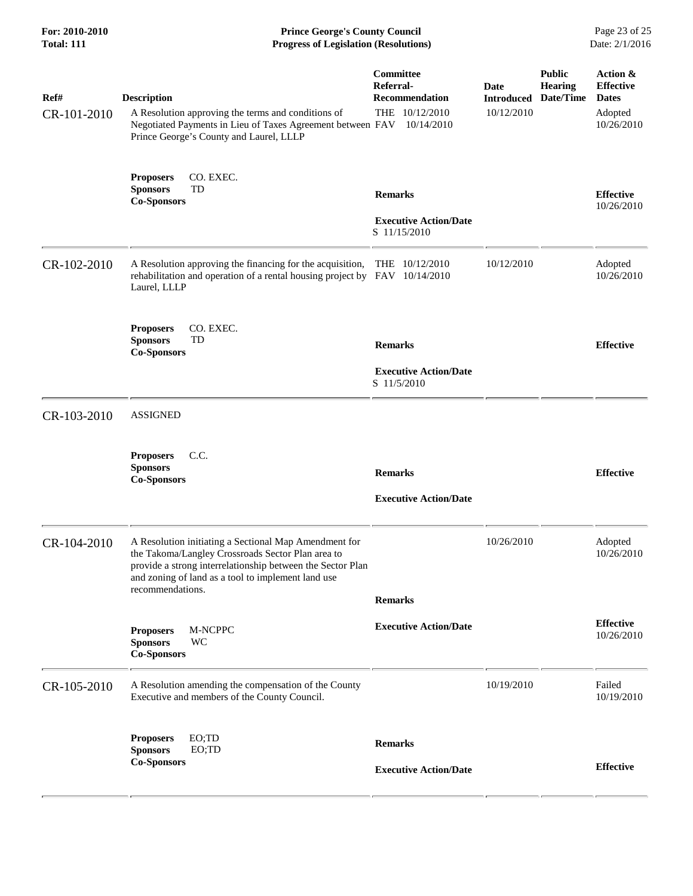| For: 2010-2010<br><b>Total: 111</b> | <b>Prince George's County Council</b><br>Date: 2/1/2016<br><b>Progress of Legislation (Resolutions)</b>                                                                                                                                            |                                                                          |                                         |                                              |                                                                       |
|-------------------------------------|----------------------------------------------------------------------------------------------------------------------------------------------------------------------------------------------------------------------------------------------------|--------------------------------------------------------------------------|-----------------------------------------|----------------------------------------------|-----------------------------------------------------------------------|
| Ref#<br>CR-101-2010                 | <b>Description</b><br>A Resolution approving the terms and conditions of<br>Negotiated Payments in Lieu of Taxes Agreement between FAV<br>Prince George's County and Laurel, LLLP                                                                  | Committee<br>Referral-<br>Recommendation<br>THE 10/12/2010<br>10/14/2010 | Date<br><b>Introduced</b><br>10/12/2010 | <b>Public</b><br><b>Hearing</b><br>Date/Time | Action &<br><b>Effective</b><br><b>Dates</b><br>Adopted<br>10/26/2010 |
|                                     | CO. EXEC.<br><b>Proposers</b><br>TD<br><b>Sponsors</b><br><b>Co-Sponsors</b>                                                                                                                                                                       | <b>Remarks</b><br><b>Executive Action/Date</b><br>S 11/15/2010           |                                         |                                              | <b>Effective</b><br>10/26/2010                                        |
| CR-102-2010                         | A Resolution approving the financing for the acquisition, THE 10/12/2010<br>rehabilitation and operation of a rental housing project by FAV 10/14/2010<br>Laurel, LLLP                                                                             |                                                                          | 10/12/2010                              |                                              | Adopted<br>10/26/2010                                                 |
|                                     | CO. EXEC.<br><b>Proposers</b><br><b>Sponsors</b><br>TD<br><b>Co-Sponsors</b>                                                                                                                                                                       | <b>Remarks</b><br><b>Executive Action/Date</b><br>S 11/5/2010            |                                         |                                              | <b>Effective</b>                                                      |
| CR-103-2010                         | <b>ASSIGNED</b>                                                                                                                                                                                                                                    |                                                                          |                                         |                                              |                                                                       |
|                                     | <b>Proposers</b><br>C.C.<br><b>Sponsors</b><br><b>Co-Sponsors</b>                                                                                                                                                                                  | <b>Remarks</b><br><b>Executive Action/Date</b>                           |                                         |                                              | <b>Effective</b>                                                      |
| CR-104-2010                         | A Resolution initiating a Sectional Map Amendment for<br>the Takoma/Langley Crossroads Sector Plan area to<br>provide a strong interrelationship between the Sector Plan<br>and zoning of land as a tool to implement land use<br>recommendations. | <b>Remarks</b>                                                           | 10/26/2010                              |                                              | Adopted<br>10/26/2010                                                 |
|                                     | M-NCPPC<br><b>Proposers</b><br>WC<br><b>Sponsors</b><br><b>Co-Sponsors</b>                                                                                                                                                                         | <b>Executive Action/Date</b>                                             |                                         |                                              | <b>Effective</b><br>10/26/2010                                        |
| CR-105-2010                         | A Resolution amending the compensation of the County<br>Executive and members of the County Council.                                                                                                                                               |                                                                          | 10/19/2010                              |                                              | Failed<br>10/19/2010                                                  |
|                                     | EO; TD<br><b>Proposers</b><br>EO;TD<br><b>Sponsors</b><br><b>Co-Sponsors</b>                                                                                                                                                                       | <b>Remarks</b><br><b>Executive Action/Date</b>                           |                                         |                                              | <b>Effective</b>                                                      |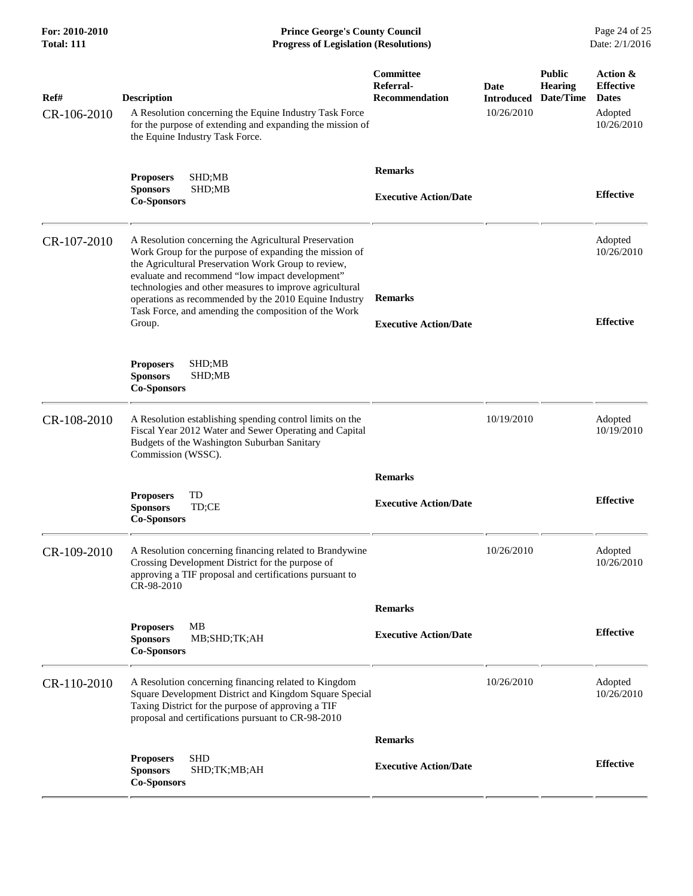**For: 2010-2010 Prince George's County Council** Page 24 of 25<br>**Progress of Legislation (Resolutions)** Date: 2/1/2016 **Total: 111 Progress of Legislation (Resolutions)** 

| Ref#<br>CR-106-2010 | <b>Description</b><br>A Resolution concerning the Equine Industry Task Force<br>for the purpose of extending and expanding the mission of<br>the Equine Industry Task Force.                                                                                                                                                                                                                                    | Committee<br>Referral-<br><b>Recommendation</b> | <b>Date</b><br><b>Introduced</b><br>10/26/2010 | <b>Public</b><br><b>Hearing</b><br>Date/Time | Action &<br><b>Effective</b><br><b>Dates</b><br>Adopted<br>10/26/2010 |
|---------------------|-----------------------------------------------------------------------------------------------------------------------------------------------------------------------------------------------------------------------------------------------------------------------------------------------------------------------------------------------------------------------------------------------------------------|-------------------------------------------------|------------------------------------------------|----------------------------------------------|-----------------------------------------------------------------------|
|                     | <b>Proposers</b><br>SHD;MB<br><b>Sponsors</b><br>SHD;MB<br><b>Co-Sponsors</b>                                                                                                                                                                                                                                                                                                                                   | <b>Remarks</b><br><b>Executive Action/Date</b>  |                                                |                                              | <b>Effective</b>                                                      |
| CR-107-2010         | A Resolution concerning the Agricultural Preservation<br>Work Group for the purpose of expanding the mission of<br>the Agricultural Preservation Work Group to review,<br>evaluate and recommend "low impact development"<br>technologies and other measures to improve agricultural<br>operations as recommended by the 2010 Equine Industry<br>Task Force, and amending the composition of the Work<br>Group. | <b>Remarks</b><br><b>Executive Action/Date</b>  |                                                |                                              | Adopted<br>10/26/2010<br><b>Effective</b>                             |
|                     | SHD;MB<br><b>Proposers</b><br><b>Sponsors</b><br>SHD;MB<br><b>Co-Sponsors</b>                                                                                                                                                                                                                                                                                                                                   |                                                 |                                                |                                              |                                                                       |
| CR-108-2010         | A Resolution establishing spending control limits on the<br>Fiscal Year 2012 Water and Sewer Operating and Capital<br>Budgets of the Washington Suburban Sanitary<br>Commission (WSSC).                                                                                                                                                                                                                         |                                                 | 10/19/2010                                     |                                              | Adopted<br>10/19/2010                                                 |
|                     |                                                                                                                                                                                                                                                                                                                                                                                                                 | <b>Remarks</b>                                  |                                                |                                              |                                                                       |
|                     | TD<br><b>Proposers</b><br><b>Sponsors</b><br>TD;CE<br><b>Co-Sponsors</b>                                                                                                                                                                                                                                                                                                                                        | <b>Executive Action/Date</b>                    |                                                |                                              | <b>Effective</b>                                                      |
| CR-109-2010         | A Resolution concerning financing related to Brandywine<br>Crossing Development District for the purpose of<br>approving a TIF proposal and certifications pursuant to<br>CR-98-2010                                                                                                                                                                                                                            |                                                 | 10/26/2010                                     |                                              | Adopted<br>10/26/2010                                                 |
|                     |                                                                                                                                                                                                                                                                                                                                                                                                                 | <b>Remarks</b>                                  |                                                |                                              |                                                                       |
|                     | MВ<br><b>Proposers</b><br><b>Sponsors</b><br>MB;SHD;TK;AH<br><b>Co-Sponsors</b>                                                                                                                                                                                                                                                                                                                                 | <b>Executive Action/Date</b>                    |                                                |                                              | <b>Effective</b>                                                      |
| CR-110-2010         | A Resolution concerning financing related to Kingdom<br>Square Development District and Kingdom Square Special<br>Taxing District for the purpose of approving a TIF<br>proposal and certifications pursuant to CR-98-2010                                                                                                                                                                                      |                                                 | 10/26/2010                                     |                                              | Adopted<br>10/26/2010                                                 |
|                     |                                                                                                                                                                                                                                                                                                                                                                                                                 | <b>Remarks</b>                                  |                                                |                                              |                                                                       |
|                     | <b>SHD</b><br><b>Proposers</b><br><b>Sponsors</b><br>SHD;TK;MB;AH<br><b>Co-Sponsors</b>                                                                                                                                                                                                                                                                                                                         | <b>Executive Action/Date</b>                    |                                                |                                              | <b>Effective</b>                                                      |